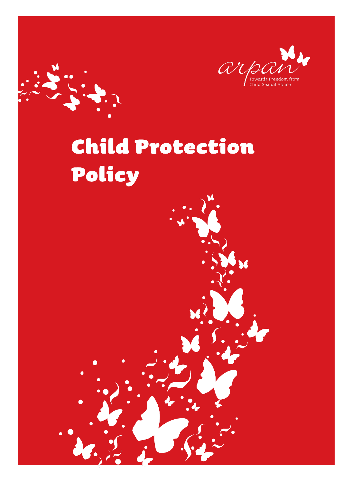

# Child Protection Policy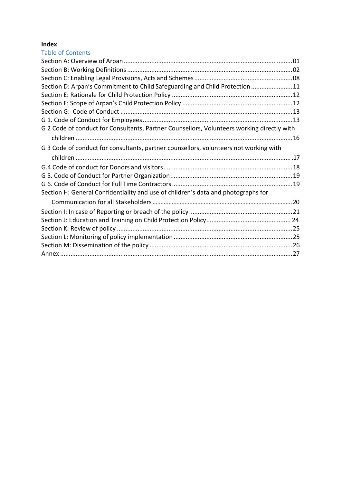## **Index**

| Section D: Arpan's Commitment to Child Safeguarding and Child Protection 11                |
|--------------------------------------------------------------------------------------------|
|                                                                                            |
|                                                                                            |
|                                                                                            |
|                                                                                            |
| G 2 Code of conduct for Consultants, Partner Counsellors, Volunteers working directly with |
|                                                                                            |
|                                                                                            |
|                                                                                            |
|                                                                                            |
|                                                                                            |
|                                                                                            |
|                                                                                            |
|                                                                                            |
|                                                                                            |
|                                                                                            |
|                                                                                            |
|                                                                                            |
|                                                                                            |
|                                                                                            |
|                                                                                            |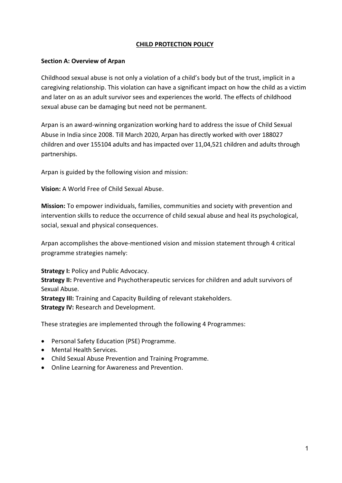#### **CHILD PROTECTION POLICY**

#### <span id="page-2-0"></span>**Section A: Overview of Arpan**

Childhood sexual abuse is not only a violation of a child's body but of the trust, implicit in a caregiving relationship. This violation can have a significant impact on how the child as a victim and later on as an adult survivor sees and experiences the world. The effects of childhood sexual abuse can be damaging but need not be permanent.

Arpan is an award-winning organization working hard to address the issue of Child Sexual Abuse in India since 2008. Till March 2020, Arpan has directly worked with over 188027 children and over 155104 adults and has impacted over 11,04,521 children and adults through partnerships.

Arpan is guided by the following vision and mission:

**Vision:** A World Free of Child Sexual Abuse.

**Mission:** To empower individuals, families, communities and society with prevention and intervention skills to reduce the occurrence of child sexual abuse and heal its psychological, social, sexual and physical consequences.

Arpan accomplishes the above-mentioned vision and mission statement through 4 critical programme strategies namely:

**Strategy I: Policy and Public Advocacy.** 

**Strategy II:** Preventive and Psychotherapeutic services for children and adult survivors of Sexual Abuse.

**Strategy III:** Training and Capacity Building of relevant stakeholders. **Strategy IV:** Research and Development.

These strategies are implemented through the following 4 Programmes:

- Personal Safety Education (PSE) Programme.
- Mental Health Services.
- Child Sexual Abuse Prevention and Training Programme.
- Online Learning for Awareness and Prevention.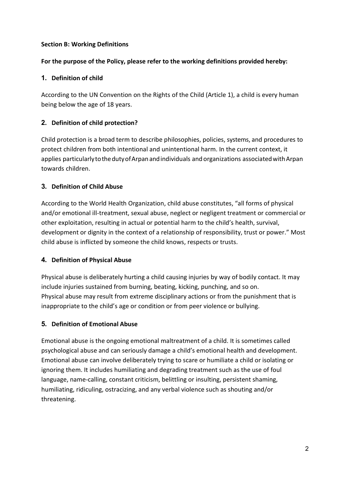## <span id="page-3-0"></span>**Section B: Working Definitions**

#### **For the purpose of the Policy, please refer to the working definitions provided hereby:**

## **1. Definition of child**

According to the UN Convention on the Rights of the Child (Article 1), a child is every human being below the age of 18 years.

## **2. Definition of child protection?**

Child protection is a broad term to describe philosophies, policies, systems, and procedures to protect children from both intentional and unintentional harm. In the current context, it applies particularly to the duty of Arpan and individuals and organizations associated with Arpan towards children.

## **3. Definition of Child Abuse**

According to the World Health Organization, child abuse constitutes, "all forms of physical and/or emotional ill-treatment, sexual abuse, neglect or negligent treatment or commercial or other exploitation, resulting in actual or potential harm to the child's health, survival, development or dignity in the context of a relationship of responsibility, trust or power." Most child abuse is inflicted by someone the child knows, respects or trusts.

## **4. Definition of Physical Abuse**

Physical abuse is deliberately hurting a child causing injuries by way of bodily contact. It may include injuries sustained from burning, beating, kicking, punching, and so on. Physical abuse may result from extreme disciplinary actions or from the punishment that is inappropriate to the child's age or condition or from peer violence or bullying.

## **5. Definition of Emotional Abuse**

Emotional abuse is the ongoing emotional maltreatment of a child. It is sometimes called psychological abuse and can seriously damage a child's emotional health and development. Emotional abuse can involve deliberately trying to scare or humiliate a child or isolating or ignoring them. It includes humiliating and degrading treatment such as the use of foul language, name-calling, constant criticism, belittling or insulting, persistent shaming, humiliating, ridiculing, ostracizing, and any verbal violence such as shouting and/or threatening.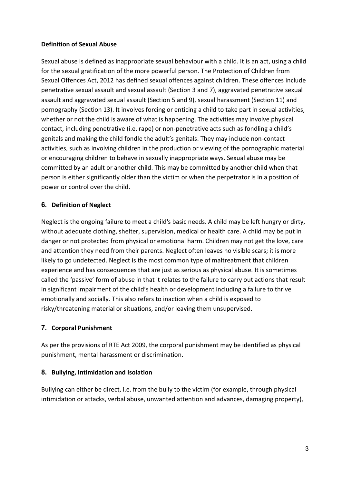## **Definition of Sexual Abuse**

Sexual abuse is defined as inappropriate sexual behaviour with a child. It is an act, using a child for the sexual gratification of the more powerful person. The Protection of Children from Sexual Offences Act, 2012 has defined sexual offences against children. These offences include penetrative sexual assault and sexual assault (Section 3 and 7), aggravated penetrative sexual assault and aggravated sexual assault (Section 5 and 9), sexual harassment (Section 11) and pornography (Section 13). It involves forcing or enticing a child to take part in sexual activities, whether or not the child is aware of what is happening. The activities may involve physical contact, including penetrative (i.e. rape) or non-penetrative acts such as fondling a child's genitals and making the child fondle the adult's genitals. They may include non-contact activities, such as involving children in the production or viewing of the pornographic material or encouraging children to behave in sexually inappropriate ways. Sexual abuse may be committed by an adult or another child. This may be committed by another child when that person is either significantly older than the victim or when the perpetrator is in a position of power or control over the child.

## **6. Definition of Neglect**

Neglect is the ongoing failure to meet a child's basic needs. A child may be left hungry or dirty, without adequate clothing, shelter, supervision, medical or health care. A child may be put in danger or not protected from physical or emotional harm. Children may not get the love, care and attention they need from their parents. Neglect often leaves no visible scars; it is more likely to go undetected. Neglect is the most common type of maltreatment that children experience and has consequences that are just as serious as physical abuse. It is sometimes called the 'passive' form of abuse in that it relates to the failure to carry out actions that result in significant impairment of the child's health or development including a failure to thrive emotionally and socially. This also refers to inaction when a child is exposed to risky/threatening material or situations, and/or leaving them unsupervised.

## **7. Corporal Punishment**

As per the provisions of RTE Act 2009, the corporal punishment may be identified as physical punishment, mental harassment or discrimination.

## **8. Bullying, Intimidation and Isolation**

Bullying can either be direct, i.e. from the bully to the victim (for example, through physical intimidation or attacks, verbal abuse, unwanted attention and advances, damaging property),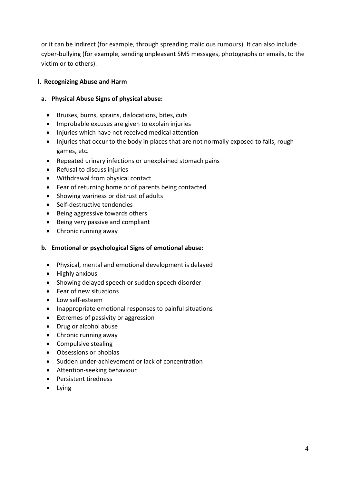or it can be indirect (for example, through spreading malicious rumours). It can also include cyber-bullying (for example, sending unpleasant SMS messages, photographs or emails, to the victim or to others).

## **I. Recognizing Abuse and Harm**

#### **a. Physical Abuse Signs of physical abuse:**

- Bruises, burns, sprains, dislocations, bites, cuts
- Improbable excuses are given to explain injuries
- Injuries which have not received medical attention
- Injuries that occur to the body in places that are not normally exposed to falls, rough games, etc.
- Repeated urinary infections or unexplained stomach pains
- Refusal to discuss injuries
- Withdrawal from physical contact
- Fear of returning home or of parents being contacted
- Showing wariness or distrust of adults
- Self-destructive tendencies
- Being aggressive towards others
- Being very passive and compliant
- Chronic running away

#### **b. Emotional or psychological Signs of emotional abuse:**

- Physical, mental and emotional development is delayed
- Highly anxious
- Showing delayed speech or sudden speech disorder
- Fear of new situations
- Low self-esteem
- Inappropriate emotional responses to painful situations
- Extremes of passivity or aggression
- Drug or alcohol abuse
- Chronic running away
- Compulsive stealing
- Obsessions or phobias
- Sudden under-achievement or lack of concentration
- Attention-seeking behaviour
- Persistent tiredness
- Lying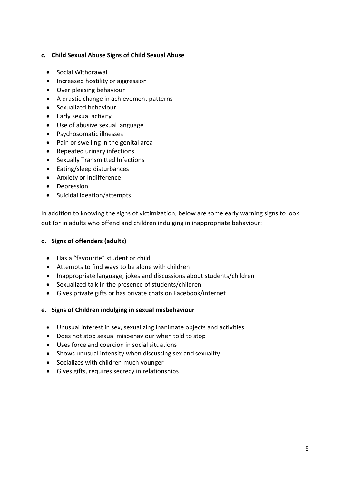## **c. Child Sexual Abuse Signs of Child Sexual Abuse**

- Social Withdrawal
- Increased hostility or aggression
- Over pleasing behaviour
- A drastic change in achievement patterns
- Sexualized behaviour
- Early sexual activity
- Use of abusive sexual language
- Psychosomatic illnesses
- Pain or swelling in the genital area
- Repeated urinary infections
- Sexually Transmitted Infections
- Eating/sleep disturbances
- Anxiety or Indifference
- Depression
- Suicidal ideation/attempts

In addition to knowing the signs of victimization, below are some early warning signs to look out for in adults who offend and children indulging in inappropriate behaviour:

#### **d. Signs of offenders (adults)**

- Has a "favourite" student or child
- Attempts to find ways to be alone with children
- Inappropriate language, jokes and discussions about students/children
- Sexualized talk in the presence of students/children
- Gives private gifts or has private chats on Facebook/internet
- **e. Signs of Children indulging in sexual misbehaviour**
	- Unusual interest in sex, sexualizing inanimate objects and activities
	- Does not stop sexual misbehaviour when told to stop
	- Uses force and coercion in social situations
	- Shows unusual intensity when discussing sex and sexuality
	- Socializes with children much younger
	- Gives gifts, requires secrecy in relationships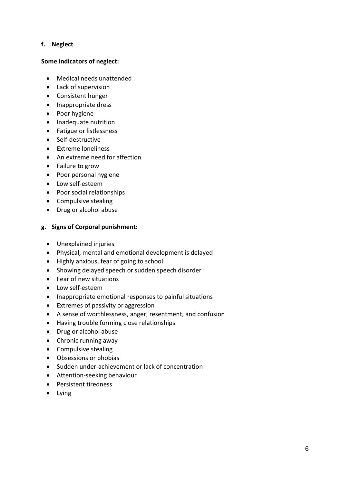#### **f. Neglect**

#### **Some indicators of neglect:**

- Medical needs unattended
- Lack of supervision
- Consistent hunger
- Inappropriate dress
- Poor hygiene
- Inadequate nutrition
- Fatigue or listlessness
- Self-destructive
- Extreme loneliness
- An extreme need for affection
- Failure to grow
- Poor personal hygiene
- Low self-esteem
- Poor social relationships
- Compulsive stealing
- Drug or alcohol abuse

#### **g. Signs of Corporal punishment:**

- Unexplained injuries
- Physical, mental and emotional development is delayed
- Highly anxious, fear of going to school
- Showing delayed speech or sudden speech disorder
- Fear of new situations
- Low self-esteem
- Inappropriate emotional responses to painful situations
- Extremes of passivity or aggression
- A sense of worthlessness, anger, resentment, and confusion
- Having trouble forming close relationships
- Drug or alcohol abuse
- Chronic running away
- Compulsive stealing
- Obsessions or phobias
- Sudden under-achievement or lack of concentration
- Attention-seeking behaviour
- Persistent tiredness
- Lying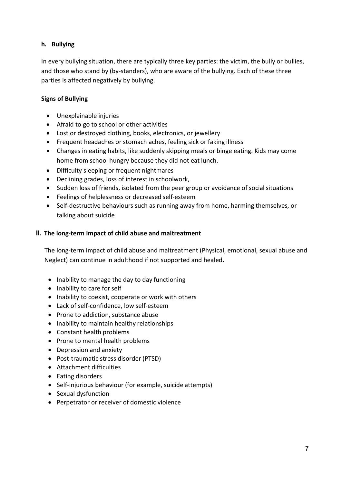## **h. Bullying**

In every bullying situation, there are typically three key parties: the victim, the bully or bullies, and those who stand by (by-standers), who are aware of the bullying. Each of these three parties is affected negatively by bullying.

## **Signs of Bullying**

- Unexplainable injuries
- Afraid to go to school or other activities
- Lost or destroyed clothing, books, electronics, or jewellery
- Frequent headaches or stomach aches, feeling sick or faking illness
- Changes in eating habits, like suddenly skipping meals or binge eating. Kids may come home from school hungry because they did not eat lunch.
- Difficulty sleeping or frequent nightmares
- Declining grades, loss of interest in schoolwork,
- Sudden loss of friends, isolated from the peer group or avoidance of social situations
- Feelings of helplessness or decreased self-esteem
- Self-destructive behaviours such as running away from home, harming themselves, or talking about suicide

#### **II. The long-term impact of child abuse and maltreatment**

The long-term impact of child abuse and maltreatment (Physical, emotional, sexual abuse and Neglect) can continue in adulthood if not supported and healed**.**

- Inability to manage the day to day functioning
- Inability to care for self
- Inability to coexist, cooperate or work with others
- Lack of self-confidence, low self-esteem
- Prone to addiction, substance abuse
- Inability to maintain healthy relationships
- Constant health problems
- Prone to mental health problems
- Depression and anxiety
- Post-traumatic stress disorder (PTSD)
- Attachment difficulties
- Eating disorders
- Self-injurious behaviour (for example, suicide attempts)
- Sexual dysfunction
- Perpetrator or receiver of domestic violence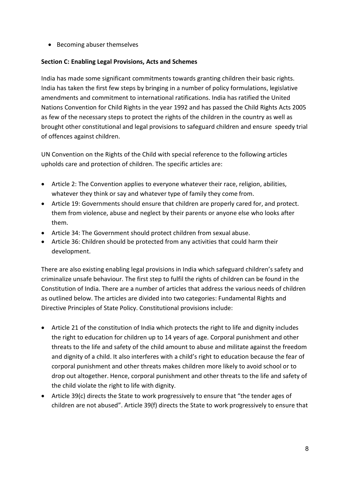• Becoming abuser themselves

## <span id="page-9-0"></span>**Section C: Enabling Legal Provisions, Acts and Schemes**

India has made some significant commitments towards granting children their basic rights. India has taken the first few steps by bringing in a number of policy formulations, legislative amendments and commitment to international ratifications. India has ratified the United Nations Convention for Child Rights in the year 1992 and has passed the Child Rights Acts 2005 as few of the necessary steps to protect the rights of the children in the country as well as brought other constitutional and legal provisions to safeguard children and ensure speedy trial of offences against children.

UN Convention on the Rights of the Child with special reference to the following articles upholds care and protection of children. The specific articles are:

- Article 2: The Convention applies to everyone whatever their race, religion, abilities, whatever they think or say and whatever type of family they come from.
- Article 19: Governments should ensure that children are properly cared for, and protect. them from violence, abuse and neglect by their parents or anyone else who looks after them.
- Article 34: The Government should protect children from sexual abuse.
- Article 36: Children should be protected from any activities that could harm their development.

There are also existing enabling legal provisions in India which safeguard children's safety and criminalize unsafe behaviour. The first step to fulfil the rights of children can be found in the Constitution of India. There are a number of articles that address the various needs of children as outlined below. The articles are divided into two categories: Fundamental Rights and Directive Principles of State Policy. Constitutional provisions include:

- Article 21 of the constitution of India which protects the right to life and dignity includes the right to education for children up to 14 years of age. Corporal punishment and other threats to the life and safety of the child amount to abuse and militate against the freedom and dignity of a child. It also interferes with a child's right to education because the fear of corporal punishment and other threats makes children more likely to avoid school or to drop out altogether. Hence, corporal punishment and other threats to the life and safety of the child violate the right to life with dignity.
- Article 39(c) directs the State to work progressively to ensure that "the tender ages of children are not abused". Article 39(f) directs the State to work progressively to ensure that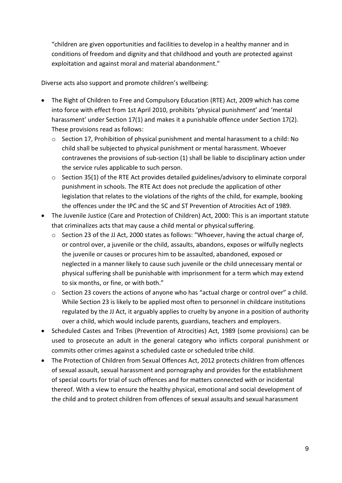"children are given opportunities and facilities to develop in a healthy manner and in conditions of freedom and dignity and that childhood and youth are protected against exploitation and against moral and material abandonment."

Diverse acts also support and promote children's wellbeing:

- The Right of Children to Free and Compulsory Education (RTE) Act, 2009 which has come into force with effect from 1st April 2010, prohibits 'physical punishment' and 'mental harassment' under Section 17(1) and makes it a punishable offence under Section 17(2). These provisions read as follows:
	- o Section 17, Prohibition of physical punishment and mental harassment to a child: No child shall be subjected to physical punishment or mental harassment. Whoever contravenes the provisions of sub-section (1) shall be liable to disciplinary action under the service rules applicable to such person.
	- $\circ$  Section 35(1) of the RTE Act provides detailed guidelines/advisory to eliminate corporal punishment in schools. The RTE Act does not preclude the application of other legislation that relates to the violations of the rights of the child, for example, booking the offences under the IPC and the SC and ST Prevention of Atrocities Act of 1989.
- The Juvenile Justice (Care and Protection of Children) Act, 2000: This is an important statute that criminalizes acts that may cause a child mental or physical suffering.
	- o Section 23 of the JJ Act, 2000 states as follows: "Whoever, having the actual charge of, or control over, a juvenile or the child, assaults, abandons, exposes or wilfully neglects the juvenile or causes or procures him to be assaulted, abandoned, exposed or neglected in a manner likely to cause such juvenile or the child unnecessary mental or physical suffering shall be punishable with imprisonment for a term which may extend to six months, or fine, or with both."
	- o Section 23 covers the actions of anyone who has "actual charge or control over" a child. While Section 23 is likely to be applied most often to personnel in childcare institutions regulated by the JJ Act, it arguably applies to cruelty by anyone in a position of authority over a child, which would include parents, guardians, teachers and employers.
- Scheduled Castes and Tribes (Prevention of Atrocities) Act, 1989 (some provisions) can be used to prosecute an adult in the general category who inflicts corporal punishment or commits other crimes against a scheduled caste or scheduled tribe child.
- The Protection of Children from Sexual Offences Act, 2012 protects children from offences of sexual assault, sexual harassment and pornography and provides for the establishment of special courts for trial of such offences and for matters connected with or incidental thereof. With a view to ensure the healthy physical, emotional and social development of the child and to protect children from offences of sexual assaults and sexual harassment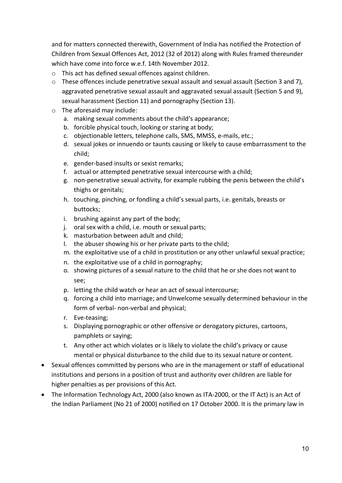and for matters connected therewith, Government of India has notified the Protection of Children from Sexual Offences Act, 2012 (32 of 2012) along with Rules framed thereunder which have come into force w.e.f. 14th November 2012.

- o This act has defined sexual offences against children.
- o These offences include penetrative sexual assault and sexual assault (Section 3 and 7), aggravated penetrative sexual assault and aggravated sexual assault (Section 5 and 9), sexual harassment (Section 11) and pornography (Section 13).
- o The aforesaid may include:
	- a. making sexual comments about the child's appearance;
	- b. forcible physical touch, looking or staring at body;
	- c. objectionable letters, telephone calls, SMS, MMSS, e-mails, etc.;
	- d. sexual jokes or innuendo or taunts causing or likely to cause embarrassment to the child;
	- e. gender-based insults or sexist remarks;
	- f. actual or attempted penetrative sexual intercourse with a child;
	- g. non-penetrative sexual activity, for example rubbing the penis between the child's thighs or genitals;
	- h. touching, pinching, or fondling a child's sexual parts, i.e. genitals, breasts or buttocks;
	- i. brushing against any part of the body;
	- j. oral sex with a child, i.e. mouth or sexual parts;
	- k. masturbation between adult and child;
	- l. the abuser showing his or her private parts to the child;
	- m. the exploitative use of a child in prostitution or any other unlawful sexual practice;
	- n. the exploitative use of a child in pornography;
	- o. showing pictures of a sexual nature to the child that he or she does not want to see;
	- p. letting the child watch or hear an act of sexual intercourse;
	- q. forcing a child into marriage; and Unwelcome sexually determined behaviour in the form of verbal- non-verbal and physical;
	- r. Eve-teasing;
	- s. Displaying pornographic or other offensive or derogatory pictures, cartoons, pamphlets or saying;
	- t. Any other act which violates or is likely to violate the child's privacy or cause mental or physical disturbance to the child due to its sexual nature or content.
- Sexual offences committed by persons who are in the management or staff of educational institutions and persons in a position of trust and authority over children are liable for higher penalties as per provisions of this Act.
- The Information Technology Act, 2000 (also known as ITA-2000, or the IT Act) is an Act of the Indian Parliament (No 21 of 2000) notified on 17 October 2000. It is the primary law in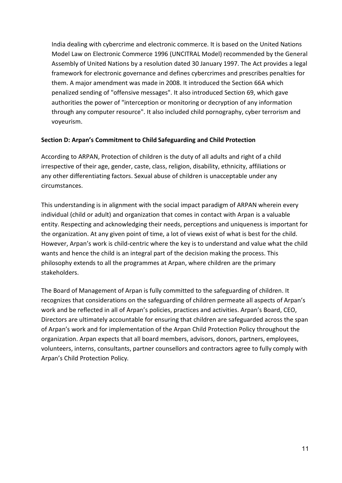India dealing with cybercrime and electronic commerce. It is based on the United Nations Model Law on Electronic Commerce 1996 (UNCITRAL Model) recommended by the General Assembly of United Nations by a resolution dated 30 January 1997. The Act provides a legal framework for electronic governance and defines cybercrimes and prescribes penalties for them. A major amendment was made in 2008. It introduced the Section 66A which penalized sending of "offensive messages". It also introduced Section 69, which gave authorities the power of "interception or monitoring or decryption of any information through any computer resource". It also included child pornography, cyber terrorism and voyeurism.

#### <span id="page-12-0"></span>**Section D: Arpan's Commitment to Child Safeguarding and Child Protection**

According to ARPAN, Protection of children is the duty of all adults and right of a child irrespective of their age, gender, caste, class, religion, disability, ethnicity, affiliations or any other differentiating factors. Sexual abuse of children is unacceptable under any circumstances.

This understanding is in alignment with the social impact paradigm of ARPAN wherein every individual (child or adult) and organization that comes in contact with Arpan is a valuable entity. Respecting and acknowledging their needs, perceptions and uniqueness is important for the organization. At any given point of time, a lot of views exist of what is best for the child. However, Arpan's work is child-centric where the key is to understand and value what the child wants and hence the child is an integral part of the decision making the process. This philosophy extends to all the programmes at Arpan, where children are the primary stakeholders.

The Board of Management of Arpan is fully committed to the safeguarding of children. It recognizes that considerations on the safeguarding of children permeate all aspects of Arpan's work and be reflected in all of Arpan's policies, practices and activities. Arpan's Board, CEO, Directors are ultimately accountable for ensuring that children are safeguarded across the span of Arpan's work and for implementation of the Arpan Child Protection Policy throughout the organization. Arpan expects that all board members, advisors, donors, partners, employees, volunteers, interns, consultants, partner counsellors and contractors agree to fully comply with Arpan's Child Protection Policy*.*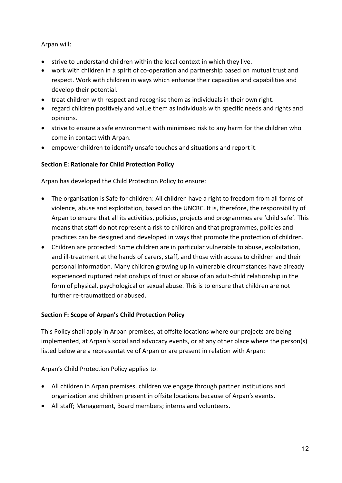## Arpan will:

- strive to understand children within the local context in which they live.
- work with children in a spirit of co-operation and partnership based on mutual trust and respect. Work with children in ways which enhance their capacities and capabilities and develop their potential.
- treat children with respect and recognise them as individuals in their own right.
- regard children positively and value them as individuals with specific needs and rights and opinions.
- strive to ensure a safe environment with minimised risk to any harm for the children who come in contact with Arpan.
- empower children to identify unsafe touches and situations and report it.

## <span id="page-13-0"></span>**Section E: Rationale for Child Protection Policy**

Arpan has developed the Child Protection Policy to ensure:

- The organisation is Safe for children: All children have a right to freedom from all forms of violence, abuse and exploitation, based on the UNCRC. It is, therefore, the responsibility of Arpan to ensure that all its activities, policies, projects and programmes are 'child safe'. This means that staff do not represent a risk to children and that programmes, policies and practices can be designed and developed in ways that promote the protection of children.
- Children are protected: Some children are in particular vulnerable to abuse, exploitation, and ill-treatment at the hands of carers, staff, and those with access to children and their personal information. Many children growing up in vulnerable circumstances have already experienced ruptured relationships of trust or abuse of an adult-child relationship in the form of physical, psychological or sexual abuse. This is to ensure that children are not further re-traumatized or abused.

#### <span id="page-13-1"></span>**Section F: Scope of Arpan's Child Protection Policy**

This Policy shall apply in Arpan premises, at offsite locations where our projects are being implemented, at Arpan's social and advocacy events, or at any other place where the person(s) listed below are a representative of Arpan or are present in relation with Arpan:

Arpan's Child Protection Policy applies to:

- All children in Arpan premises, children we engage through partner institutions and organization and children present in offsite locations because of Arpan's events.
- All staff; Management, Board members; interns and volunteers.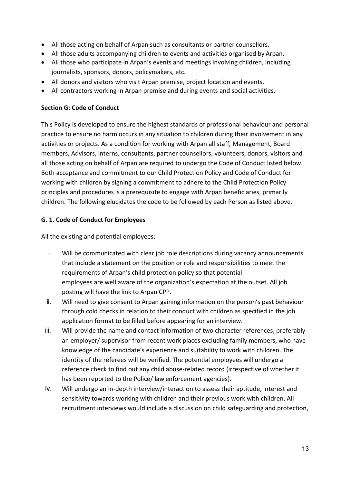- All those acting on behalf of Arpan such as consultants or partner counsellors.
- All those adults accompanying children to events and activities organised by Arpan.
- All those who participate in Arpan's events and meetings involving children, including journalists, sponsors, donors, policymakers, etc.
- All donors and visitors who visit Arpan premise, project location and events.
- All contractors working in Arpan premise and during events and social activities.

#### <span id="page-14-0"></span>**Section G: Code of Conduct**

This Policy is developed to ensure the highest standards of professional behaviour and personal practice to ensure no harm occurs in any situation to children during their involvement in any activities or projects. As a condition for working with Arpan all staff, Management, Board members, Advisors, interns, consultants, partner counsellors, volunteers, donors, visitors and all those acting on behalf of Arpan are required to undergo the Code of Conduct listed below. Both acceptance and commitment to our Child Protection Policy and Code of Conduct for working with children by signing a commitment to adhere to the Child Protection Policy principles and procedures is a prerequisite to engage with Arpan beneficiaries, primarily children. The following elucidates the code to be followed by each Person as listed above.

## <span id="page-14-1"></span>**G. 1. Code of Conduct for Employees**

All the existing and potential employees:

- i. Will be communicated with clear job role descriptions during vacancy announcements that include a statement on the position or role and responsibilities to meet the requirements of Arpan's child protection policy so that potential employees are well aware of the organization's expectation at the outset. All job posting will have the link to Arpan CPP.
- ii. Will need to give consent to Arpan gaining information on the person's past behaviour through cold checks in relation to their conduct with children as specified in the job application format to be filled before appearing for an interview.
- iii. Will provide the name and contact information of two character references, preferably an employer/ supervisor from recent work places excluding family members, who have knowledge of the candidate's experience and suitability to work with children. The identity of the referees will be verified. The potential employees will undergo a reference check to find out any child abuse-related record (irrespective of whether it has been reported to the Police/ law enforcement agencies).
- iv. Will undergo an in-depth interview/interaction to assess their aptitude, interest and sensitivity towards working with children and their previous work with children. All recruitment interviews would include a discussion on child safeguarding and protection,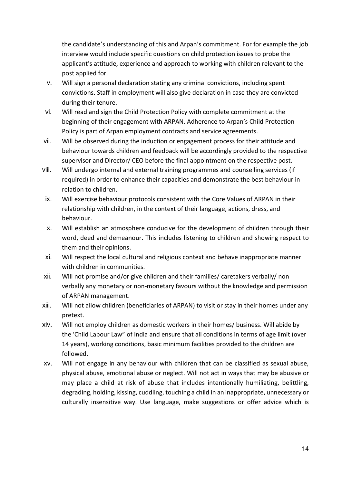the candidate's understanding of this and Arpan's commitment. For for example the job interview would include specific questions on child protection issues to probe the applicant's attitude, experience and approach to working with children relevant to the post applied for.

- v. Will sign a personal declaration stating any criminal convictions, including spent convictions. Staff in employment will also give declaration in case they are convicted during their tenure.
- vi. Will read and sign the Child Protection Policy with complete commitment at the beginning of their engagement with ARPAN. Adherence to Arpan's Child Protection Policy is part of Arpan employment contracts and service agreements.
- vii. Will be observed during the induction or engagement process for their attitude and behaviour towards children and feedback will be accordingly provided to the respective supervisor and Director/ CEO before the final appointment on the respective post.
- viii. Will undergo internal and external training programmes and counselling services (if required) in order to enhance their capacities and demonstrate the best behaviour in relation to children.
- ix. Will exercise behaviour protocols consistent with the Core Values of ARPAN in their relationship with children, in the context of their language, actions, dress, and behaviour.
- x. Will establish an atmosphere conducive for the development of children through their word, deed and demeanour. This includes listening to children and showing respect to them and their opinions.
- xi. Will respect the local cultural and religious context and behave inappropriate manner with children in communities.
- xii. Will not promise and/or give children and their families/ caretakers verbally/ non verbally any monetary or non-monetary favours without the knowledge and permission of ARPAN management.
- xiii. Will not allow children (beneficiaries of ARPAN) to visit or stay in their homes under any pretext.
- xiv. Will not employ children as domestic workers in their homes/ business. Will abide by the 'Child Labour Law" of India and ensure that all conditions in terms of age limit (over 14 years), working conditions, basic minimum facilities provided to the children are followed.
- xv. Will not engage in any behaviour with children that can be classified as sexual abuse, physical abuse, emotional abuse or neglect. Will not act in ways that may be abusive or may place a child at risk of abuse that includes intentionally humiliating, belittling, degrading, holding, kissing, cuddling, touching a child in an inappropriate, unnecessary or culturally insensitive way. Use language, make suggestions or offer advice which is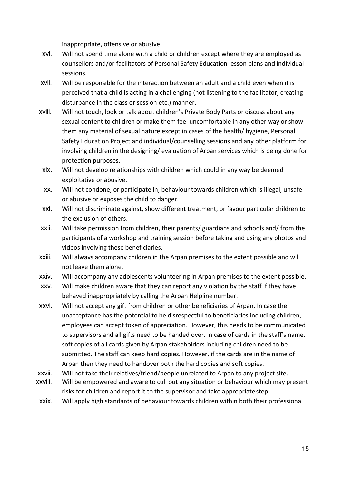inappropriate, offensive or abusive.

- xvi. Will not spend time alone with a child or children except where they are employed as counsellors and/or facilitators of Personal Safety Education lesson plans and individual sessions.
- xvii. Will be responsible for the interaction between an adult and a child even when it is perceived that a child is acting in a challenging (not listening to the facilitator, creating disturbance in the class or session etc.) manner.
- xviii. Will not touch, look or talk about children's Private Body Parts or discuss about any sexual content to children or make them feel uncomfortable in any other way or show them any material of sexual nature except in cases of the health/ hygiene, Personal Safety Education Project and individual/counselling sessions and any other platform for involving children in the designing/ evaluation of Arpan services which is being done for protection purposes.
- xix. Will not develop relationships with children which could in any way be deemed exploitative or abusive.
- xx. Will not condone, or participate in, behaviour towards children which is illegal, unsafe or abusive or exposes the child to danger.
- xxi. Will not discriminate against, show different treatment, or favour particular children to the exclusion of others.
- xxii. Will take permission from children, their parents/ guardians and schools and/ from the participants of a workshop and training session before taking and using any photos and videos involving these beneficiaries.
- xxiii. Will always accompany children in the Arpan premises to the extent possible and will not leave them alone.
- xxiv. Will accompany any adolescents volunteering in Arpan premises to the extent possible.
- xxv. Will make children aware that they can report any violation by the staff if they have behaved inappropriately by calling the Arpan Helpline number.
- xxvi. Will not accept any gift from children or other beneficiaries of Arpan. In case the unacceptance has the potential to be disrespectful to beneficiaries including children, employees can accept token of appreciation. However, this needs to be communicated to supervisors and all gifts need to be handed over. In case of cards in the staff's name, soft copies of all cards given by Arpan stakeholders including children need to be submitted. The staff can keep hard copies. However, if the cards are in the name of Arpan then they need to handover both the hard copies and soft copies.
- xxvii. Will not take their relatives/friend/people unrelated to Arpan to any project site.
- xxviii. Will be empowered and aware to cull out any situation or behaviour which may present risks for children and report it to the supervisor and take appropriatestep.
- xxix. Will apply high standards of behaviour towards children within both their professional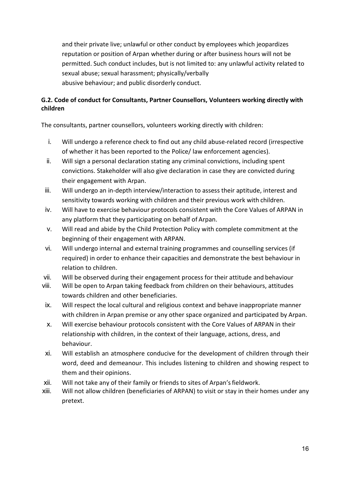and their private live; unlawful or other conduct by employees which jeopardizes reputation or position of Arpan whether during or after business hours will not be permitted. Such conduct includes, but is not limited to: any unlawful activity related to sexual abuse; sexual harassment; physically/verbally abusive behaviour; and public disorderly conduct.

# <span id="page-17-0"></span>**G.2. Code of conduct for Consultants, Partner Counsellors, Volunteers working directly with children**

The consultants, partner counsellors, volunteers working directly with children:

- i. Will undergo a reference check to find out any child abuse-related record (irrespective of whether it has been reported to the Police/ law enforcement agencies).
- ii. Will sign a personal declaration stating any criminal convictions, including spent convictions. Stakeholder will also give declaration in case they are convicted during their engagement with Arpan.
- iii. Will undergo an in-depth interview/interaction to assess their aptitude, interest and sensitivity towards working with children and their previous work with children.
- iv. Will have to exercise behaviour protocols consistent with the Core Values of ARPAN in any platform that they participating on behalf of Arpan.
- v. Will read and abide by the Child Protection Policy with complete commitment at the beginning of their engagement with ARPAN.
- vi. Will undergo internal and external training programmes and counselling services (if required) in order to enhance their capacities and demonstrate the best behaviour in relation to children.
- vii. Will be observed during their engagement process for their attitude and behaviour
- viii. Will be open to Arpan taking feedback from children on their behaviours, attitudes towards children and other beneficiaries.
- ix. Will respect the local cultural and religious context and behave inappropriate manner with children in Arpan premise or any other space organized and participated by Arpan.
- x. Will exercise behaviour protocols consistent with the Core Values of ARPAN in their relationship with children, in the context of their language, actions, dress, and behaviour.
- xi. Will establish an atmosphere conducive for the development of children through their word, deed and demeanour. This includes listening to children and showing respect to them and their opinions.
- xii. Will not take any of their family or friends to sites of Arpan'sfieldwork.
- xiii. Will not allow children (beneficiaries of ARPAN) to visit or stay in their homes under any pretext.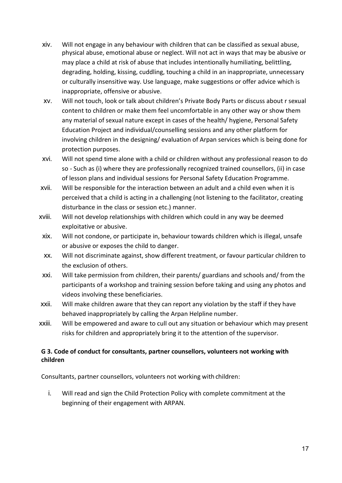- xiv. Will not engage in any behaviour with children that can be classified as sexual abuse, physical abuse, emotional abuse or neglect. Will not act in ways that may be abusive or may place a child at risk of abuse that includes intentionally humiliating, belittling, degrading, holding, kissing, cuddling, touching a child in an inappropriate, unnecessary or culturally insensitive way. Use language, make suggestions or offer advice which is inappropriate, offensive or abusive.
- xv. Will not touch, look or talk about children's Private Body Parts or discuss about r sexual content to children or make them feel uncomfortable in any other way or show them any material of sexual nature except in cases of the health/ hygiene, Personal Safety Education Project and individual/counselling sessions and any other platform for involving children in the designing/ evaluation of Arpan services which is being done for protection purposes.
- xvi. Will not spend time alone with a child or children without any professional reason to do so - Such as (i) where they are professionally recognized trained counsellors, (ii) in case of lesson plans and individual sessions for Personal Safety Education Programme.
- xvii. Will be responsible for the interaction between an adult and a child even when it is perceived that a child is acting in a challenging (not listening to the facilitator, creating disturbance in the class or session etc.) manner.
- xviii. Will not develop relationships with children which could in any way be deemed exploitative or abusive.
- xix. Will not condone, or participate in, behaviour towards children which is illegal, unsafe or abusive or exposes the child to danger.
- xx. Will not discriminate against, show different treatment, or favour particular children to the exclusion of others.
- xxi. Will take permission from children, their parents/ guardians and schools and/ from the participants of a workshop and training session before taking and using any photos and videos involving these beneficiaries.
- xxii. Will make children aware that they can report any violation by the staff if they have behaved inappropriately by calling the Arpan Helpline number.
- xxiii. Will be empowered and aware to cull out any situation or behaviour which may present risks for children and appropriately bring it to the attention of the supervisor.

## <span id="page-18-0"></span>**G 3. Code of conduct for consultants, partner counsellors, volunteers not working with children**

Consultants, partner counsellors, volunteers not working with children:

i. Will read and sign the Child Protection Policy with complete commitment at the beginning of their engagement with ARPAN.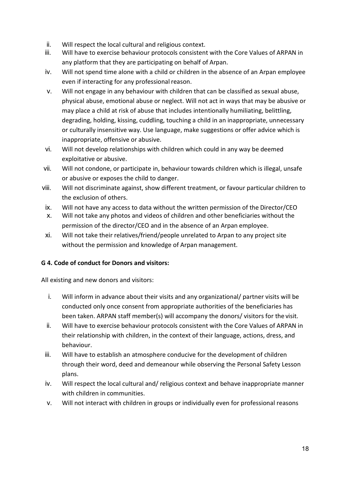- ii. Will respect the local cultural and religious context.
- iii. Will have to exercise behaviour protocols consistent with the Core Values of ARPAN in any platform that they are participating on behalf of Arpan.
- iv. Will not spend time alone with a child or children in the absence of an Arpan employee even if interacting for any professional reason.
- v. Will not engage in any behaviour with children that can be classified as sexual abuse, physical abuse, emotional abuse or neglect. Will not act in ways that may be abusive or may place a child at risk of abuse that includes intentionally humiliating, belittling, degrading, holding, kissing, cuddling, touching a child in an inappropriate, unnecessary or culturally insensitive way. Use language, make suggestions or offer advice which is inappropriate, offensive or abusive.
- vi. Will not develop relationships with children which could in any way be deemed exploitative or abusive.
- vii. Will not condone, or participate in, behaviour towards children which is illegal, unsafe or abusive or exposes the child to danger.
- viii. Will not discriminate against, show different treatment, or favour particular children to the exclusion of others.
- ix. Will not have any access to data without the written permission of the Director/CEO
- x. Will not take any photos and videos of children and other beneficiaries without the permission of the director/CEO and in the absence of an Arpan employee.
- xi. Will not take their relatives/friend/people unrelated to Arpan to any project site without the permission and knowledge of Arpan management.

## <span id="page-19-0"></span>**G 4. Code of conduct for Donors and visitors:**

All existing and new donors and visitors:

- i. Will inform in advance about their visits and any organizational/ partner visits will be conducted only once consent from appropriate authorities of the beneficiaries has been taken. ARPAN staff member(s) will accompany the donors/ visitors for the visit.
- ii. Will have to exercise behaviour protocols consistent with the Core Values of ARPAN in their relationship with children, in the context of their language, actions, dress, and behaviour.
- iii. Will have to establish an atmosphere conducive for the development of children through their word, deed and demeanour while observing the Personal Safety Lesson plans.
- iv. Will respect the local cultural and/ religious context and behave inappropriate manner with children in communities.
- v. Will not interact with children in groups or individually even for professional reasons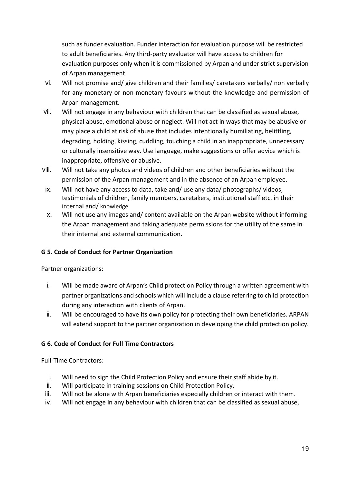such as funder evaluation. Funder interaction for evaluation purpose will be restricted to adult beneficiaries. Any third-party evaluator will have access to children for evaluation purposes only when it is commissioned by Arpan andunder strict supervision of Arpan management.

- vi. Will not promise and/ give children and their families/ caretakers verbally/ non verbally for any monetary or non-monetary favours without the knowledge and permission of Arpan management.
- vii. Will not engage in any behaviour with children that can be classified as sexual abuse, physical abuse, emotional abuse or neglect. Will not act in ways that may be abusive or may place a child at risk of abuse that includes intentionally humiliating, belittling, degrading, holding, kissing, cuddling, touching a child in an inappropriate, unnecessary or culturally insensitive way. Use language, make suggestions or offer advice which is inappropriate, offensive or abusive.
- viii. Will not take any photos and videos of children and other beneficiaries without the permission of the Arpan management and in the absence of an Arpan employee.
- ix. Will not have any access to data, take and/ use any data/ photographs/ videos, testimonials of children, family members, caretakers, institutional staff etc. in their internal and/ knowledge
- x. Will not use any images and/ content available on the Arpan website without informing the Arpan management and taking adequate permissions for the utility of the same in their internal and external communication.

## <span id="page-20-0"></span>**G 5. Code of Conduct for Partner Organization**

#### Partner organizations:

- i. Will be made aware of Arpan's Child protection Policy through a written agreement with partner organizations and schools which will include a clause referring to child protection during any interaction with clients of Arpan.
- ii. Will be encouraged to have its own policy for protecting their own beneficiaries. ARPAN will extend support to the partner organization in developing the child protection policy.

#### <span id="page-20-1"></span>**G 6. Code of Conduct for Full Time Contractors**

Full-Time Contractors:

- i. Will need to sign the Child Protection Policy and ensure their staff abide by it.
- ii. Will participate in training sessions on Child Protection Policy.
- iii. Will not be alone with Arpan beneficiaries especially children or interact with them.
- iv. Will not engage in any behaviour with children that can be classified as sexual abuse,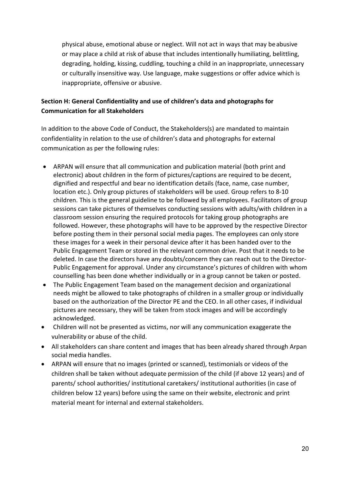physical abuse, emotional abuse or neglect. Will not act in ways that may be abusive or may place a child at risk of abuse that includes intentionally humiliating, belittling, degrading, holding, kissing, cuddling, touching a child in an inappropriate, unnecessary or culturally insensitive way. Use language, make suggestions or offer advice which is inappropriate, offensive or abusive.

# <span id="page-21-0"></span>**Section H: General Confidentiality and use of children's data and photographs for Communication for all Stakeholders**

In addition to the above Code of Conduct, the Stakeholders(s) are mandated to maintain confidentiality in relation to the use of children's data and photographs for external communication as per the following rules:

- ARPAN will ensure that all communication and publication material (both print and electronic) about children in the form of pictures/captions are required to be decent, dignified and respectful and bear no identification details (face, name, case number, location etc.). Only group pictures of stakeholders will be used. Group refers to 8-10 children. This is the general guideline to be followed by all employees. Facilitators of group sessions can take pictures of themselves conducting sessions with adults/with children in a classroom session ensuring the required protocols for taking group photographs are followed. However, these photographs will have to be approved by the respective Director before posting them in their personal social media pages. The employees can only store these images for a week in their personal device after it has been handed over to the Public Engagement Team or stored in the relevant common drive. Post that it needs to be deleted. In case the directors have any doubts/concern they can reach out to the Director-Public Engagement for approval. Under any circumstance's pictures of children with whom counselling has been done whether individually or in a group cannot be taken or posted.
- The Public Engagement Team based on the management decision and organizational needs might be allowed to take photographs of children in a smaller group or individually based on the authorization of the Director PE and the CEO. In all other cases, if individual pictures are necessary, they will be taken from stock images and will be accordingly acknowledged.
- Children will not be presented as victims, nor will any communication exaggerate the vulnerability or abuse of the child.
- All stakeholders can share content and images that has been already shared through Arpan social media handles.
- ARPAN will ensure that no images (printed or scanned), testimonials or videos of the children shall be taken without adequate permission of the child (if above 12 years) and of parents/ school authorities/ institutional caretakers/ institutional authorities (in case of children below 12 years) before using the same on their website, electronic and print material meant for internal and external stakeholders.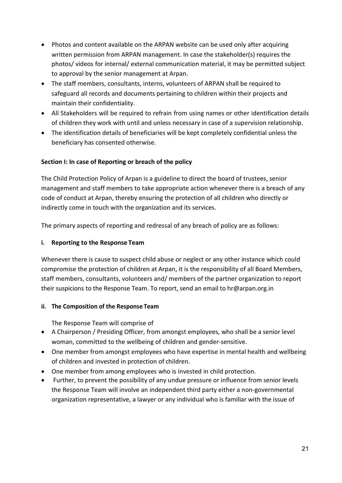- Photos and content available on the ARPAN website can be used only after acquiring written permission from ARPAN management. In case the stakeholder(s) requires the photos/ videos for internal/ external communication material, it may be permitted subject to approval by the senior management at Arpan.
- The staff members, consultants, interns, volunteers of ARPAN shall be required to safeguard all records and documents pertaining to children within their projects and maintain their confidentiality.
- All Stakeholders will be required to refrain from using names or other identification details of children they work with until and unless necessary in case of a supervision relationship.
- The identification details of beneficiaries will be kept completely confidential unless the beneficiary has consented otherwise.

## <span id="page-22-0"></span>**Section I: In case of Reporting or breach of the policy**

The Child Protection Policy of Arpan is a guideline to direct the board of trustees, senior management and staff members to take appropriate action whenever there is a breach of any code of conduct at Arpan, thereby ensuring the protection of all children who directly or indirectly come in touch with the organization and its services.

The primary aspects of reporting and redressal of any breach of policy are as follows:

#### **i. Reporting to the Response Team**

Whenever there is cause to suspect child abuse or neglect or any other instance which could compromise the protection of children at Arpan, it is the responsibility of all Board Members, staff members, consultants, volunteers and/ members of the partner organization to report their suspicions to the Response Team. To report, send an email to hr@arpan.org.in

#### **ii. The Composition of the Response Team**

The Response Team will comprise of

- A Chairperson / Presiding Officer, from amongst employees, who shall be a senior level woman, committed to the wellbeing of children and gender-sensitive.
- One member from amongst employees who have expertise in mental health and wellbeing of children and invested in protection of children.
- One member from among employees who is invested in child protection.
- Further, to prevent the possibility of any undue pressure or influence from senior levels the Response Team will involve an independent third party either a non-governmental organization representative, a lawyer or any individual who is familiar with the issue of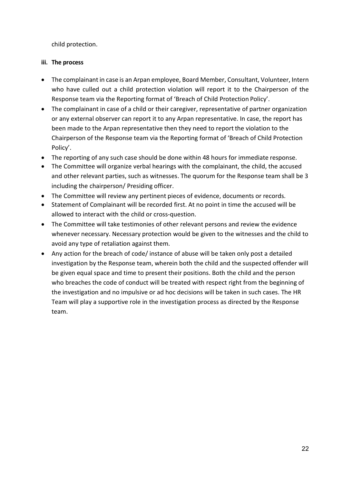child protection.

#### **iii. The process**

- The complainant in case is an Arpan employee, Board Member, Consultant, Volunteer, Intern who have culled out a child protection violation will report it to the Chairperson of the Response team via the Reporting format of 'Breach of Child Protection Policy'.
- The complainant in case of a child or their caregiver, representative of partner organization or any external observer can report it to any Arpan representative. In case, the report has been made to the Arpan representative then they need to report the violation to the Chairperson of the Response team via the Reporting format of 'Breach of Child Protection Policy'.
- The reporting of any such case should be done within 48 hours for immediate response.
- The Committee will organize verbal hearings with the complainant, the child, the accused and other relevant parties, such as witnesses. The quorum for the Response team shall be 3 including the chairperson/ Presiding officer.
- The Committee will review any pertinent pieces of evidence, documents or records.
- Statement of Complainant will be recorded first. At no point in time the accused will be allowed to interact with the child or cross-question.
- The Committee will take testimonies of other relevant persons and review the evidence whenever necessary. Necessary protection would be given to the witnesses and the child to avoid any type of retaliation against them.
- Any action for the breach of code/ instance of abuse will be taken only post a detailed investigation by the Response team, wherein both the child and the suspected offender will be given equal space and time to present their positions. Both the child and the person who breaches the code of conduct will be treated with respect right from the beginning of the investigation and no impulsive or ad hoc decisions will be taken in such cases. The HR Team will play a supportive role in the investigation process as directed by the Response team.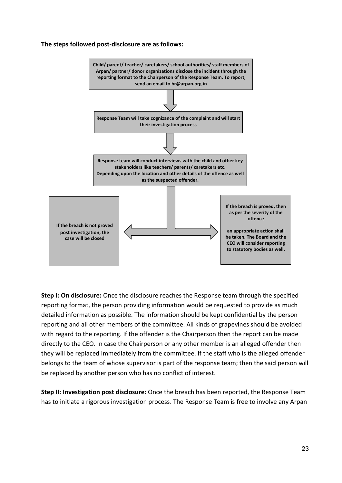#### **The steps followed post-disclosure are as follows:**



**Step I: On disclosure:** Once the disclosure reaches the Response team through the specified reporting format, the person providing information would be requested to provide as much detailed information as possible. The information should be kept confidential by the person reporting and all other members of the committee. All kinds of grapevines should be avoided with regard to the reporting. If the offender is the Chairperson then the report can be made directly to the CEO. In case the Chairperson or any other member is an alleged offender then they will be replaced immediately from the committee. If the staff who is the alleged offender belongs to the team of whose supervisor is part of the response team; then the said person will be replaced by another person who has no conflict of interest.

**Step II: Investigation post disclosure:** Once the breach has been reported, the Response Team has to initiate a rigorous investigation process. The Response Team is free to involve any Arpan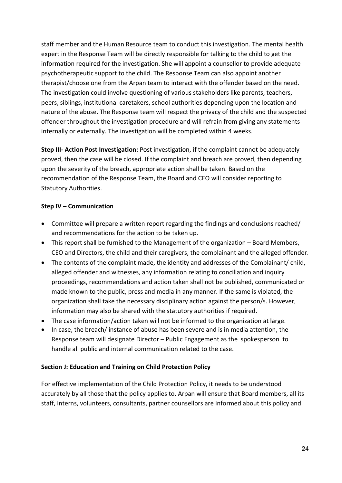staff member and the Human Resource team to conduct this investigation. The mental health expert in the Response Team will be directly responsible for talking to the child to get the information required for the investigation. She will appoint a counsellor to provide adequate psychotherapeutic support to the child. The Response Team can also appoint another therapist/choose one from the Arpan team to interact with the offender based on the need. The investigation could involve questioning of various stakeholders like parents, teachers, peers, siblings, institutional caretakers, school authorities depending upon the location and nature of the abuse. The Response team will respect the privacy of the child and the suspected offender throughout the investigation procedure and will refrain from giving any statements internally or externally. The investigation will be completed within 4 weeks.

**Step III- Action Post Investigation:** Post investigation, if the complaint cannot be adequately proved, then the case will be closed. If the complaint and breach are proved, then depending upon the severity of the breach, appropriate action shall be taken. Based on the recommendation of the Response Team, the Board and CEO will consider reporting to Statutory Authorities.

## **Step IV – Communication**

- Committee will prepare a written report regarding the findings and conclusions reached/ and recommendations for the action to be taken up.
- This report shall be furnished to the Management of the organization Board Members, CEO and Directors, the child and their caregivers, the complainant and the alleged offender.
- The contents of the complaint made, the identity and addresses of the Complainant/ child, alleged offender and witnesses, any information relating to conciliation and inquiry proceedings, recommendations and action taken shall not be published, communicated or made known to the public, press and media in any manner. If the same is violated, the organization shall take the necessary disciplinary action against the person/s. However, information may also be shared with the statutory authorities if required.
- The case information/action taken will not be informed to the organization at large.
- In case, the breach/ instance of abuse has been severe and is in media attention, the Response team will designate Director – Public Engagement as the spokesperson to handle all public and internal communication related to the case.

#### <span id="page-25-0"></span>**Section J: Education and Training on Child Protection Policy**

For effective implementation of the Child Protection Policy, it needs to be understood accurately by all those that the policy applies to. Arpan will ensure that Board members, all its staff, interns, volunteers, consultants, partner counsellors are informed about this policy and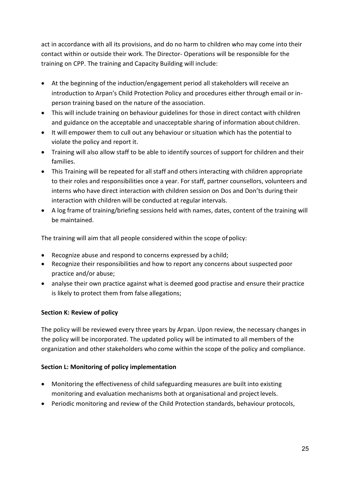act in accordance with all its provisions, and do no harm to children who may come into their contact within or outside their work. The Director- Operations will be responsible for the training on CPP. The training and Capacity Building will include:

- At the beginning of the induction/engagement period all stakeholders will receive an introduction to Arpan's Child Protection Policy and procedures either through email or inperson training based on the nature of the association.
- This will include training on behaviour guidelines for those in direct contact with children and guidance on the acceptable and unacceptable sharing of information about children.
- It will empower them to cull out any behaviour or situation which has the potential to violate the policy and report it.
- Training will also allow staff to be able to identify sources of support for children and their families.
- This Training will be repeated for all staff and others interacting with children appropriate to their roles and responsibilities once a year. For staff, partner counsellors, volunteers and interns who have direct interaction with children session on Dos and Don'ts during their interaction with children will be conducted at regular intervals.
- A log frame of training/briefing sessions held with names, dates, content of the training will be maintained.

The training will aim that all people considered within the scope of policy:

- Recognize abuse and respond to concerns expressed by a child;
- Recognize their responsibilities and how to report any concerns about suspected poor practice and/or abuse;
- analyse their own practice against what is deemed good practise and ensure their practice is likely to protect them from false allegations;

## <span id="page-26-0"></span>**Section K: Review of policy**

The policy will be reviewed every three years by Arpan. Upon review, the necessary changes in the policy will be incorporated. The updated policy will be intimated to all members of the organization and other stakeholders who come within the scope of the policy and compliance.

## <span id="page-26-1"></span>**Section L: Monitoring of policy implementation**

- Monitoring the effectiveness of child safeguarding measures are built into existing monitoring and evaluation mechanisms both at organisational and project levels.
- Periodic monitoring and review of the Child Protection standards, behaviour protocols,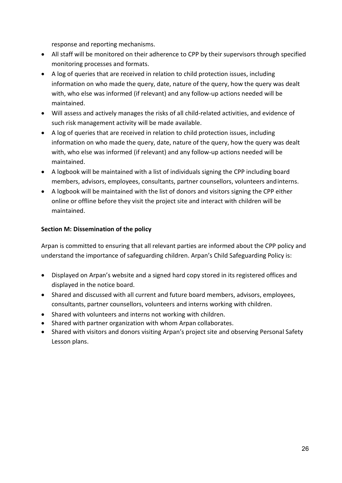response and reporting mechanisms.

- All staff will be monitored on their adherence to CPP by their supervisors through specified monitoring processes and formats.
- A log of queries that are received in relation to child protection issues, including information on who made the query, date, nature of the query, how the query was dealt with, who else was informed (if relevant) and any follow-up actions needed will be maintained.
- Will assess and actively manages the risks of all child-related activities, and evidence of such risk management activity will be made available.
- A log of queries that are received in relation to child protection issues, including information on who made the query, date, nature of the query, how the query was dealt with, who else was informed (if relevant) and any follow-up actions needed will be maintained.
- A logbook will be maintained with a list of individuals signing the CPP including board members, advisors, employees, consultants, partner counsellors, volunteers andinterns.
- A logbook will be maintained with the list of donors and visitors signing the CPP either online or offline before they visit the project site and interact with children will be maintained.

## <span id="page-27-0"></span>**Section M: Dissemination of the policy**

Arpan is committed to ensuring that all relevant parties are informed about the CPP policy and understand the importance of safeguarding children. Arpan's Child Safeguarding Policy is:

- Displayed on Arpan's website and a signed hard copy stored in its registered offices and displayed in the notice board.
- Shared and discussed with all current and future board members, advisors, employees, consultants, partner counsellors, volunteers and interns working with children.
- Shared with volunteers and interns not working with children.
- Shared with partner organization with whom Arpan collaborates.
- Shared with visitors and donors visiting Arpan's project site and observing Personal Safety Lesson plans.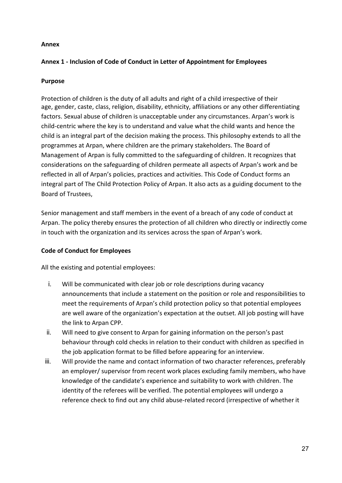#### <span id="page-28-0"></span>**Annex**

## **Annex 1 - Inclusion of Code of Conduct in Letter of Appointment for Employees**

## **Purpose**

Protection of children is the duty of all adults and right of a child irrespective of their age, gender, caste, class, religion, disability, ethnicity, affiliations or any other differentiating factors. Sexual abuse of children is unacceptable under any circumstances. Arpan's work is child-centric where the key is to understand and value what the child wants and hence the child is an integral part of the decision making the process. This philosophy extends to all the programmes at Arpan, where children are the primary stakeholders. The Board of Management of Arpan is fully committed to the safeguarding of children. It recognizes that considerations on the safeguarding of children permeate all aspects of Arpan's work and be reflected in all of Arpan's policies, practices and activities. This Code of Conduct forms an integral part of The Child Protection Policy of Arpan. It also acts as a guiding document to the Board of Trustees,

Senior management and staff members in the event of a breach of any code of conduct at Arpan. The policy thereby ensures the protection of all children who directly or indirectly come in touch with the organization and its services across the span of Arpan's work.

## **Code of Conduct for Employees**

All the existing and potential employees:

- i. Will be communicated with clear job or role descriptions during vacancy announcements that include a statement on the position or role and responsibilities to meet the requirements of Arpan's child protection policy so that potential employees are well aware of the organization's expectation at the outset. All job posting will have the link to Arpan CPP.
- ii. Will need to give consent to Arpan for gaining information on the person's past behaviour through cold checks in relation to their conduct with children as specified in the job application format to be filled before appearing for an interview.
- iii. Will provide the name and contact information of two character references, preferably an employer/ supervisor from recent work places excluding family members, who have knowledge of the candidate's experience and suitability to work with children. The identity of the referees will be verified. The potential employees will undergo a reference check to find out any child abuse-related record (irrespective of whether it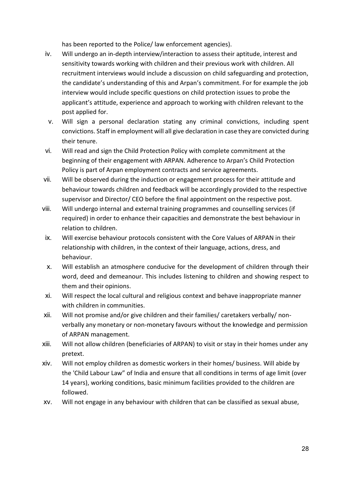has been reported to the Police/ law enforcement agencies).

- iv. Will undergo an in-depth interview/interaction to assess their aptitude, interest and sensitivity towards working with children and their previous work with children. All recruitment interviews would include a discussion on child safeguarding and protection, the candidate's understanding of this and Arpan's commitment. For for example the job interview would include specific questions on child protection issues to probe the applicant's attitude, experience and approach to working with children relevant to the post applied for.
- v. Will sign a personal declaration stating any criminal convictions, including spent convictions. Staff in employment will all give declaration in case they are convicted during their tenure.
- vi. Will read and sign the Child Protection Policy with complete commitment at the beginning of their engagement with ARPAN. Adherence to Arpan's Child Protection Policy is part of Arpan employment contracts and service agreements.
- vii. Will be observed during the induction or engagement process for their attitude and behaviour towards children and feedback will be accordingly provided to the respective supervisor and Director/ CEO before the final appointment on the respective post.
- viii. Will undergo internal and external training programmes and counselling services (if required) in order to enhance their capacities and demonstrate the best behaviour in relation to children.
- ix. Will exercise behaviour protocols consistent with the Core Values of ARPAN in their relationship with children, in the context of their language, actions, dress, and behaviour.
- x. Will establish an atmosphere conducive for the development of children through their word, deed and demeanour. This includes listening to children and showing respect to them and their opinions.
- xi. Will respect the local cultural and religious context and behave inappropriate manner with children in communities.
- xii. Will not promise and/or give children and their families/ caretakers verbally/ nonverbally any monetary or non-monetary favours without the knowledge and permission of ARPAN management.
- xiii. Will not allow children (beneficiaries of ARPAN) to visit or stay in their homes under any pretext.
- xiv. Will not employ children as domestic workers in their homes/ business. Will abide by the 'Child Labour Law" of India and ensure that all conditions in terms of age limit (over 14 years), working conditions, basic minimum facilities provided to the children are followed.
- xv. Will not engage in any behaviour with children that can be classified as sexual abuse,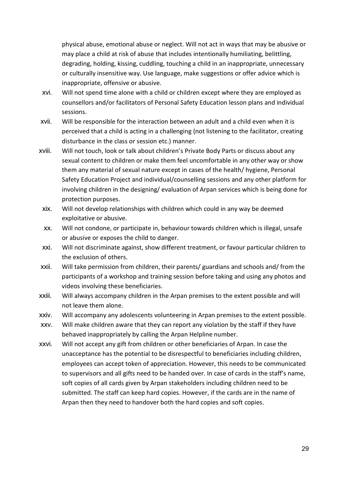physical abuse, emotional abuse or neglect. Will not act in ways that may be abusive or may place a child at risk of abuse that includes intentionally humiliating, belittling, degrading, holding, kissing, cuddling, touching a child in an inappropriate, unnecessary or culturally insensitive way. Use language, make suggestions or offer advice which is inappropriate, offensive or abusive.

- xvi. Will not spend time alone with a child or children except where they are employed as counsellors and/or facilitators of Personal Safety Education lesson plans and individual sessions.
- xvii. Will be responsible for the interaction between an adult and a child even when it is perceived that a child is acting in a challenging (not listening to the facilitator, creating disturbance in the class or session etc.) manner.
- xviii. Will not touch, look or talk about children's Private Body Parts or discuss about any sexual content to children or make them feel uncomfortable in any other way or show them any material of sexual nature except in cases of the health/ hygiene, Personal Safety Education Project and individual/counselling sessions and any other platform for involving children in the designing/ evaluation of Arpan services which is being done for protection purposes.
- xix. Will not develop relationships with children which could in any way be deemed exploitative or abusive.
- xx. Will not condone, or participate in, behaviour towards children which is illegal, unsafe or abusive or exposes the child to danger.
- xxi. Will not discriminate against, show different treatment, or favour particular children to the exclusion of others.
- xxii. Will take permission from children, their parents/ guardians and schools and/ from the participants of a workshop and training session before taking and using any photos and videos involving these beneficiaries.
- xxiii. Will always accompany children in the Arpan premises to the extent possible and will not leave them alone.
- xxiv. Will accompany any adolescents volunteering in Arpan premises to the extent possible.
- xxv. Will make children aware that they can report any violation by the staff if they have behaved inappropriately by calling the Arpan Helpline number.
- xxvi. Will not accept any gift from children or other beneficiaries of Arpan. In case the unacceptance has the potential to be disrespectful to beneficiaries including children, employees can accept token of appreciation. However, this needs to be communicated to supervisors and all gifts need to be handed over. In case of cards in the staff's name, soft copies of all cards given by Arpan stakeholders including children need to be submitted. The staff can keep hard copies. However, if the cards are in the name of Arpan then they need to handover both the hard copies and soft copies.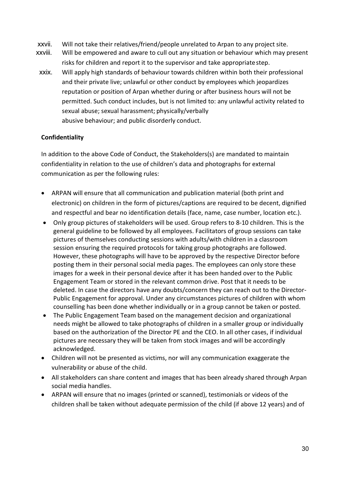- xxvii. Will not take their relatives/friend/people unrelated to Arpan to any project site.
- xxviii. Will be empowered and aware to cull out any situation or behaviour which may present risks for children and report it to the supervisor and take appropriatestep.
- xxix. Will apply high standards of behaviour towards children within both their professional and their private live; unlawful or other conduct by employees which jeopardizes reputation or position of Arpan whether during or after business hours will not be permitted. Such conduct includes, but is not limited to: any unlawful activity related to sexual abuse; sexual harassment; physically/verbally abusive behaviour; and public disorderly conduct.

## **Confidentiality**

In addition to the above Code of Conduct, the Stakeholders(s) are mandated to maintain confidentiality in relation to the use of children's data and photographs for external communication as per the following rules:

- ARPAN will ensure that all communication and publication material (both print and electronic) on children in the form of pictures/captions are required to be decent, dignified and respectful and bear no identification details (face, name, case number, location etc.).
- Only group pictures of stakeholders will be used. Group refers to 8-10 children. This is the general guideline to be followed by all employees. Facilitators of group sessions can take pictures of themselves conducting sessions with adults/with children in a classroom session ensuring the required protocols for taking group photographs are followed. However, these photographs will have to be approved by the respective Director before posting them in their personal social media pages. The employees can only store these images for a week in their personal device after it has been handed over to the Public Engagement Team or stored in the relevant common drive. Post that it needs to be deleted. In case the directors have any doubts/concern they can reach out to the Director-Public Engagement for approval. Under any circumstances pictures of children with whom counselling has been done whether individually or in a group cannot be taken or posted.
- The Public Engagement Team based on the management decision and organizational needs might be allowed to take photographs of children in a smaller group or individually based on the authorization of the Director PE and the CEO. In all other cases, if individual pictures are necessary they will be taken from stock images and will be accordingly acknowledged.
- Children will not be presented as victims, nor will any communication exaggerate the vulnerability or abuse of the child.
- All stakeholders can share content and images that has been already shared through Arpan social media handles.
- ARPAN will ensure that no images (printed or scanned), testimonials or videos of the children shall be taken without adequate permission of the child (if above 12 years) and of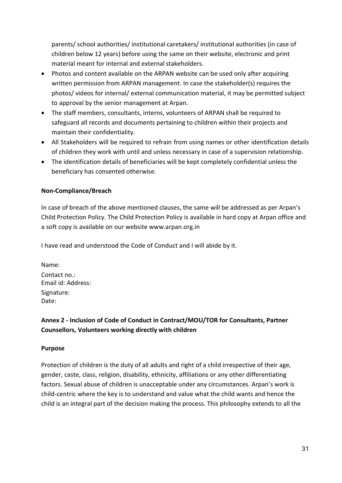parents/ school authorities/ institutional caretakers/ institutional authorities (in case of children below 12 years) before using the same on their website, electronic and print material meant for internal and external stakeholders.

- Photos and content available on the ARPAN website can be used only after acquiring written permission from ARPAN management. In case the stakeholder(s) requires the photos/ videos for internal/ external communication material, it may be permitted subject to approval by the senior management at Arpan.
- The staff members, consultants, interns, volunteers of ARPAN shall be required to safeguard all records and documents pertaining to children within their projects and maintain their confidentiality.
- All Stakeholders will be required to refrain from using names or other identification details of children they work with until and unless necessary in case of a supervision relationship.
- The identification details of beneficiaries will be kept completely confidential unless the beneficiary has consented otherwise.

## **Non-Compliance/Breach**

In case of breach of the above mentioned clauses, the same will be addressed as per Arpan's Child Protection Policy. The Child Protection Policy is available in hard copy at Arpan office and a soft copy is available on our website [www.arpan.org.in](http://www.arpan.org.in/)

I have read and understood the Code of Conduct and I will abide by it.

Name: Contact no.: Email id: Address: Signature: Date:

# **Annex 2 - Inclusion of Code of Conduct in Contract/MOU/TOR for Consultants, Partner Counsellors, Volunteers working directly with children**

#### **Purpose**

Protection of children is the duty of all adults and right of a child irrespective of their age, gender, caste, class, religion, disability, ethnicity, affiliations or any other differentiating factors. Sexual abuse of children is unacceptable under any circumstances. Arpan's work is child-centric where the key is to understand and value what the child wants and hence the child is an integral part of the decision making the process. This philosophy extends to all the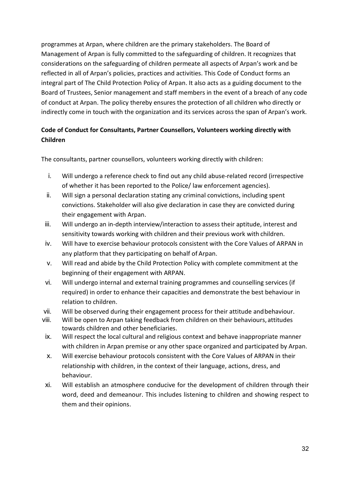programmes at Arpan, where children are the primary stakeholders. The Board of Management of Arpan is fully committed to the safeguarding of children. It recognizes that considerations on the safeguarding of children permeate all aspects of Arpan's work and be reflected in all of Arpan's policies, practices and activities. This Code of Conduct forms an integral part of The Child Protection Policy of Arpan. It also acts as a guiding document to the Board of Trustees, Senior management and staff members in the event of a breach of any code of conduct at Arpan. The policy thereby ensures the protection of all children who directly or indirectly come in touch with the organization and its services across the span of Arpan's work.

# **Code of Conduct for Consultants, Partner Counsellors, Volunteers working directly with Children**

The consultants, partner counsellors, volunteers working directly with children:

- i. Will undergo a reference check to find out any child abuse-related record (irrespective of whether it has been reported to the Police/ law enforcement agencies).
- ii. Will sign a personal declaration stating any criminal convictions, including spent convictions. Stakeholder will also give declaration in case they are convicted during their engagement with Arpan.
- iii. Will undergo an in-depth interview/interaction to assess their aptitude, interest and sensitivity towards working with children and their previous work with children.
- iv. Will have to exercise behaviour protocols consistent with the Core Values of ARPAN in any platform that they participating on behalf of Arpan.
- v. Will read and abide by the Child Protection Policy with complete commitment at the beginning of their engagement with ARPAN.
- vi. Will undergo internal and external training programmes and counselling services (if required) in order to enhance their capacities and demonstrate the best behaviour in relation to children.
- vii. Will be observed during their engagement process for their attitude andbehaviour.
- viii. Will be open to Arpan taking feedback from children on their behaviours, attitudes towards children and other beneficiaries.
- ix. Will respect the local cultural and religious context and behave inappropriate manner with children in Arpan premise or any other space organized and participated by Arpan.
- x. Will exercise behaviour protocols consistent with the Core Values of ARPAN in their relationship with children, in the context of their language, actions, dress, and behaviour.
- xi. Will establish an atmosphere conducive for the development of children through their word, deed and demeanour. This includes listening to children and showing respect to them and their opinions.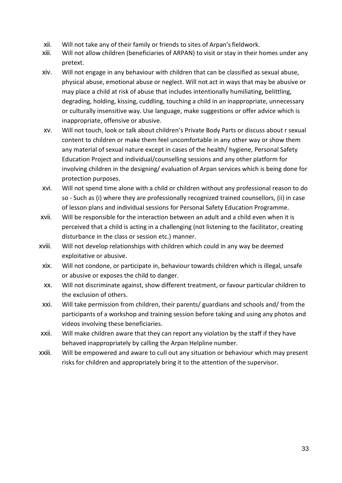- xii. Will not take any of their family or friends to sites of Arpan'sfieldwork.
- xiii. Will not allow children (beneficiaries of ARPAN) to visit or stay in their homes under any pretext.
- xiv. Will not engage in any behaviour with children that can be classified as sexual abuse, physical abuse, emotional abuse or neglect. Will not act in ways that may be abusive or may place a child at risk of abuse that includes intentionally humiliating, belittling, degrading, holding, kissing, cuddling, touching a child in an inappropriate, unnecessary or culturally insensitive way. Use language, make suggestions or offer advice which is inappropriate, offensive or abusive.
- xv. Will not touch, look or talk about children's Private Body Parts or discuss about r sexual content to children or make them feel uncomfortable in any other way or show them any material of sexual nature except in cases of the health/ hygiene, Personal Safety Education Project and individual/counselling sessions and any other platform for involving children in the designing/ evaluation of Arpan services which is being done for protection purposes.
- xvi. Will not spend time alone with a child or children without any professional reason to do so - Such as (i) where they are professionally recognized trained counsellors, (ii) in case of lesson plans and individual sessions for Personal Safety Education Programme.
- xvii. Will be responsible for the interaction between an adult and a child even when it is perceived that a child is acting in a challenging (not listening to the facilitator, creating disturbance in the class or session etc.) manner.
- xviii. Will not develop relationships with children which could in any way be deemed exploitative or abusive.
- xix. Will not condone, or participate in, behaviour towards children which is illegal, unsafe or abusive or exposes the child to danger.
- xx. Will not discriminate against, show different treatment, or favour particular children to the exclusion of others.
- xxi. Will take permission from children, their parents/ guardians and schools and/ from the participants of a workshop and training session before taking and using any photos and videos involving these beneficiaries.
- xxii. Will make children aware that they can report any violation by the staff if they have behaved inappropriately by calling the Arpan Helpline number.
- xxiii. Will be empowered and aware to cull out any situation or behaviour which may present risks for children and appropriately bring it to the attention of the supervisor.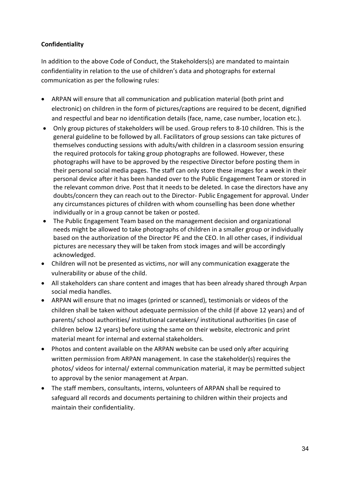## **Confidentiality**

In addition to the above Code of Conduct, the Stakeholders(s) are mandated to maintain confidentiality in relation to the use of children's data and photographs for external communication as per the following rules:

- ARPAN will ensure that all communication and publication material (both print and electronic) on children in the form of pictures/captions are required to be decent, dignified and respectful and bear no identification details (face, name, case number, location etc.).
- Only group pictures of stakeholders will be used. Group refers to 8-10 children. This is the general guideline to be followed by all. Facilitators of group sessions can take pictures of themselves conducting sessions with adults/with children in a classroom session ensuring the required protocols for taking group photographs are followed. However, these photographs will have to be approved by the respective Director before posting them in their personal social media pages. The staff can only store these images for a week in their personal device after it has been handed over to the Public Engagement Team or stored in the relevant common drive. Post that it needs to be deleted. In case the directors have any doubts/concern they can reach out to the Director- Public Engagement for approval. Under any circumstances pictures of children with whom counselling has been done whether individually or in a group cannot be taken or posted.
- The Public Engagement Team based on the management decision and organizational needs might be allowed to take photographs of children in a smaller group or individually based on the authorization of the Director PE and the CEO. In all other cases, if individual pictures are necessary they will be taken from stock images and will be accordingly acknowledged.
- Children will not be presented as victims, nor will any communication exaggerate the vulnerability or abuse of the child.
- All stakeholders can share content and images that has been already shared through Arpan social media handles.
- ARPAN will ensure that no images (printed or scanned), testimonials or videos of the children shall be taken without adequate permission of the child (if above 12 years) and of parents/ school authorities/ institutional caretakers/ institutional authorities (in case of children below 12 years) before using the same on their website, electronic and print material meant for internal and external stakeholders.
- Photos and content available on the ARPAN website can be used only after acquiring written permission from ARPAN management. In case the stakeholder(s) requires the photos/ videos for internal/ external communication material, it may be permitted subject to approval by the senior management at Arpan.
- The staff members, consultants, interns, volunteers of ARPAN shall be required to safeguard all records and documents pertaining to children within their projects and maintain their confidentiality.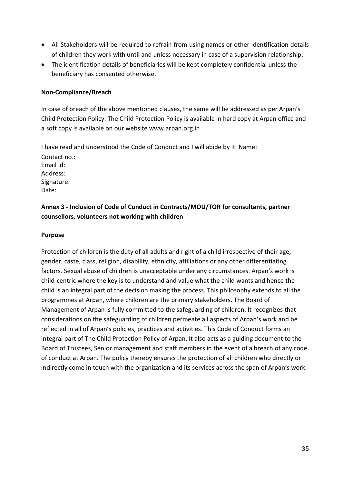- All Stakeholders will be required to refrain from using names or other identification details of children they work with until and unless necessary in case of a supervision relationship.
- The identification details of beneficiaries will be kept completely confidential unless the beneficiary has consented otherwise.

#### **Non-Compliance/Breach**

In case of breach of the above mentioned clauses, the same will be addressed as per Arpan's Child Protection Policy. The Child Protection Policy is available in hard copy at Arpan office and a soft copy is available on our website [www.arpan.org.in](http://www.arpan.org.in/)

I have read and understood the Code of Conduct and I will abide by it. Name: Contact no.: Email id: Address: Signature: Date:

# **Annex 3 - Inclusion of Code of Conduct in Contracts/MOU/TOR for consultants, partner counsellors, volunteers not working with children**

#### **Purpose**

Protection of children is the duty of all adults and right of a child irrespective of their age, gender, caste, class, religion, disability, ethnicity, affiliations or any other differentiating factors. Sexual abuse of children is unacceptable under any circumstances. Arpan's work is child-centric where the key is to understand and value what the child wants and hence the child is an integral part of the decision making the process. This philosophy extends to all the programmes at Arpan, where children are the primary stakeholders. The Board of Management of Arpan is fully committed to the safeguarding of children. It recognizes that considerations on the safeguarding of children permeate all aspects of Arpan's work and be reflected in all of Arpan's policies, practices and activities. This Code of Conduct forms an integral part of The Child Protection Policy of Arpan. It also acts as a guiding document to the Board of Trustees, Senior management and staff members in the event of a breach of any code of conduct at Arpan. The policy thereby ensures the protection of all children who directly or indirectly come in touch with the organization and its services across the span of Arpan's work.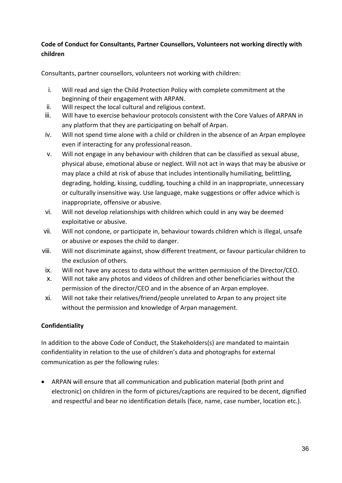## **Code of Conduct for Consultants, Partner Counsellors, Volunteers not working directly with children**

Consultants, partner counsellors, volunteers not working with children:

- i. Will read and sign the Child Protection Policy with complete commitment at the beginning of their engagement with ARPAN.
- ii. Will respect the local cultural and religious context.
- iii. Will have to exercise behaviour protocols consistent with the Core Values of ARPAN in any platform that they are participating on behalf of Arpan.
- iv. Will not spend time alone with a child or children in the absence of an Arpan employee even if interacting for any professional reason.
- v. Will not engage in any behaviour with children that can be classified as sexual abuse, physical abuse, emotional abuse or neglect. Will not act in ways that may be abusive or may place a child at risk of abuse that includes intentionally humiliating, belittling, degrading, holding, kissing, cuddling, touching a child in an inappropriate, unnecessary or culturally insensitive way. Use language, make suggestions or offer advice which is inappropriate, offensive or abusive.
- vi. Will not develop relationships with children which could in any way be deemed exploitative or abusive.
- vii. Will not condone, or participate in, behaviour towards children which is illegal, unsafe or abusive or exposes the child to danger.
- viii. Will not discriminate against, show different treatment, or favour particular children to the exclusion of others.
- ix. Will not have any access to data without the written permission of the Director/CEO.
- x. Will not take any photos and videos of children and other beneficiaries without the permission of the director/CEO and in the absence of an Arpan employee.
- xi. Will not take their relatives/friend/people unrelated to Arpan to any project site without the permission and knowledge of Arpan management.

## **Confidentiality**

In addition to the above Code of Conduct, the Stakeholders(s) are mandated to maintain confidentiality in relation to the use of children's data and photographs for external communication as per the following rules:

• ARPAN will ensure that all communication and publication material (both print and electronic) on children in the form of pictures/captions are required to be decent, dignified and respectful and bear no identification details (face, name, case number, location etc.).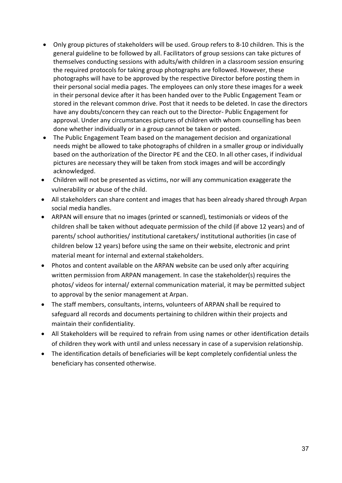- Only group pictures of stakeholders will be used. Group refers to 8-10 children. This is the general guideline to be followed by all. Facilitators of group sessions can take pictures of themselves conducting sessions with adults/with children in a classroom session ensuring the required protocols for taking group photographs are followed. However, these photographs will have to be approved by the respective Director before posting them in their personal social media pages. The employees can only store these images for a week in their personal device after it has been handed over to the Public Engagement Team or stored in the relevant common drive. Post that it needs to be deleted. In case the directors have any doubts/concern they can reach out to the Director- Public Engagement for approval. Under any circumstances pictures of children with whom counselling has been done whether individually or in a group cannot be taken or posted.
- The Public Engagement Team based on the management decision and organizational needs might be allowed to take photographs of children in a smaller group or individually based on the authorization of the Director PE and the CEO. In all other cases, if individual pictures are necessary they will be taken from stock images and will be accordingly acknowledged.
- Children will not be presented as victims, nor will any communication exaggerate the vulnerability or abuse of the child.
- All stakeholders can share content and images that has been already shared through Arpan social media handles.
- ARPAN will ensure that no images (printed or scanned), testimonials or videos of the children shall be taken without adequate permission of the child (if above 12 years) and of parents/ school authorities/ institutional caretakers/ institutional authorities (in case of children below 12 years) before using the same on their website, electronic and print material meant for internal and external stakeholders.
- Photos and content available on the ARPAN website can be used only after acquiring written permission from ARPAN management. In case the stakeholder(s) requires the photos/ videos for internal/ external communication material, it may be permitted subject to approval by the senior management at Arpan.
- The staff members, consultants, interns, volunteers of ARPAN shall be required to safeguard all records and documents pertaining to children within their projects and maintain their confidentiality.
- All Stakeholders will be required to refrain from using names or other identification details of children they work with until and unless necessary in case of a supervision relationship.
- The identification details of beneficiaries will be kept completely confidential unless the beneficiary has consented otherwise.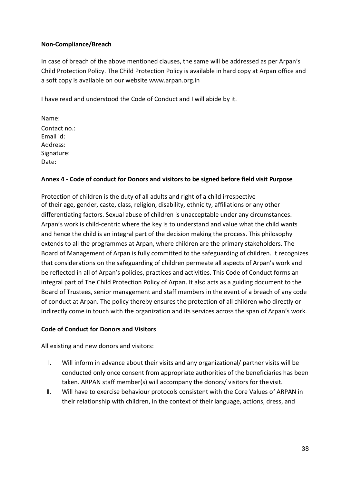#### **Non-Compliance/Breach**

In case of breach of the above mentioned clauses, the same will be addressed as per Arpan's Child Protection Policy. The Child Protection Policy is available in hard copy at Arpan office and a soft copy is available on our website [www.arpan.org.in](http://www.arpan.org.in/)

I have read and understood the Code of Conduct and I will abide by it.

Name: Contact no.: Email id: Address: Signature: Date:

#### **Annex 4 - Code of conduct for Donors and visitors to be signed before field visit Purpose**

Protection of children is the duty of all adults and right of a child irrespective of their age, gender, caste, class, religion, disability, ethnicity, affiliations or any other differentiating factors. Sexual abuse of children is unacceptable under any circumstances. Arpan's work is child-centric where the key is to understand and value what the child wants and hence the child is an integral part of the decision making the process. This philosophy extends to all the programmes at Arpan, where children are the primary stakeholders. The Board of Management of Arpan is fully committed to the safeguarding of children. It recognizes that considerations on the safeguarding of children permeate all aspects of Arpan's work and be reflected in all of Arpan's policies, practices and activities. This Code of Conduct forms an integral part of The Child Protection Policy of Arpan. It also acts as a guiding document to the Board of Trustees, senior management and staff members in the event of a breach of any code of conduct at Arpan. The policy thereby ensures the protection of all children who directly or indirectly come in touch with the organization and its services across the span of Arpan's work.

#### **Code of Conduct for Donors and Visitors**

All existing and new donors and visitors:

- i. Will inform in advance about their visits and any organizational/ partner visits will be conducted only once consent from appropriate authorities of the beneficiaries has been taken. ARPAN staff member(s) will accompany the donors/ visitors for thevisit.
- ii. Will have to exercise behaviour protocols consistent with the Core Values of ARPAN in their relationship with children, in the context of their language, actions, dress, and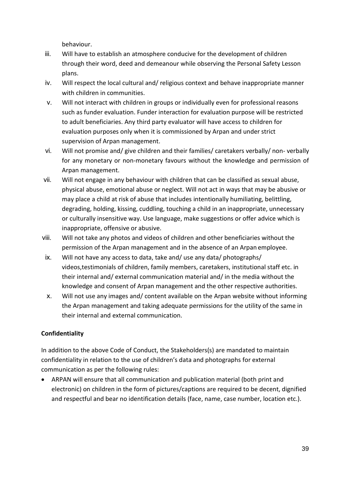behaviour.

- iii. Will have to establish an atmosphere conducive for the development of children through their word, deed and demeanour while observing the Personal Safety Lesson plans.
- iv. Will respect the local cultural and/ religious context and behave inappropriate manner with children in communities.
- v. Will not interact with children in groups or individually even for professional reasons such as funder evaluation. Funder interaction for evaluation purpose will be restricted to adult beneficiaries. Any third party evaluator will have access to children for evaluation purposes only when it is commissioned by Arpan and under strict supervision of Arpan management.
- vi. Will not promise and/ give children and their families/ caretakers verbally/ non- verbally for any monetary or non-monetary favours without the knowledge and permission of Arpan management.
- vii. Will not engage in any behaviour with children that can be classified as sexual abuse, physical abuse, emotional abuse or neglect. Will not act in ways that may be abusive or may place a child at risk of abuse that includes intentionally humiliating, belittling, degrading, holding, kissing, cuddling, touching a child in an inappropriate, unnecessary or culturally insensitive way. Use language, make suggestions or offer advice which is inappropriate, offensive or abusive.
- viii. Will not take any photos and videos of children and other beneficiaries without the permission of the Arpan management and in the absence of an Arpan employee.
- ix. Will not have any access to data, take and/ use any data/ photographs/ videos,testimonials of children, family members, caretakers, institutional staff etc. in their internal and/ external communication material and/ in the media without the knowledge and consent of Arpan management and the other respective authorities.
- x. Will not use any images and/ content available on the Arpan website without informing the Arpan management and taking adequate permissions for the utility of the same in their internal and external communication.

## **Confidentiality**

In addition to the above Code of Conduct, the Stakeholders(s) are mandated to maintain confidentiality in relation to the use of children's data and photographs for external communication as per the following rules:

• ARPAN will ensure that all communication and publication material (both print and electronic) on children in the form of pictures/captions are required to be decent, dignified and respectful and bear no identification details (face, name, case number, location etc.).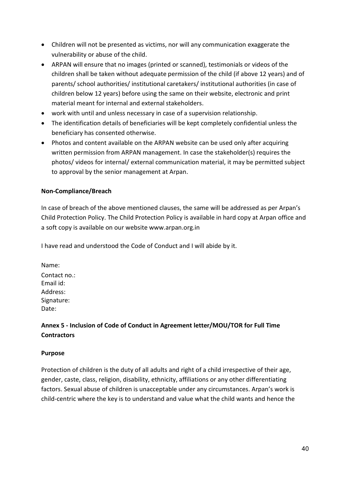- Children will not be presented as victims, nor will any communication exaggerate the vulnerability or abuse of the child.
- ARPAN will ensure that no images (printed or scanned), testimonials or videos of the children shall be taken without adequate permission of the child (if above 12 years) and of parents/ school authorities/ institutional caretakers/ institutional authorities (in case of children below 12 years) before using the same on their website, electronic and print material meant for internal and external stakeholders.
- work with until and unless necessary in case of a supervision relationship.
- The identification details of beneficiaries will be kept completely confidential unless the beneficiary has consented otherwise.
- Photos and content available on the ARPAN website can be used only after acquiring written permission from ARPAN management. In case the stakeholder(s) requires the photos/ videos for internal/ external communication material, it may be permitted subject to approval by the senior management at Arpan.

## **Non-Compliance/Breach**

In case of breach of the above mentioned clauses, the same will be addressed as per Arpan's Child Protection Policy. The Child Protection Policy is available in hard copy at Arpan office and a soft copy is available on our website [www.arpan.org.in](http://www.arpan.org.in/)

I have read and understood the Code of Conduct and I will abide by it.

Name: Contact no.: Email id: Address: Signature: Date:

# **Annex 5 - Inclusion of Code of Conduct in Agreement letter/MOU/TOR for Full Time Contractors**

#### **Purpose**

Protection of children is the duty of all adults and right of a child irrespective of their age, gender, caste, class, religion, disability, ethnicity, affiliations or any other differentiating factors. Sexual abuse of children is unacceptable under any circumstances. Arpan's work is child-centric where the key is to understand and value what the child wants and hence the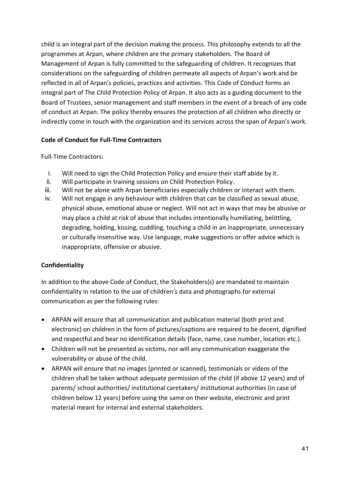child is an integral part of the decision making the process. This philosophy extends to all the programmes at Arpan, where children are the primary stakeholders. The Board of Management of Arpan is fully committed to the safeguarding of children. It recognizes that considerations on the safeguarding of children permeate all aspects of Arpan's work and be reflected in all of Arpan's policies, practices and activities. This Code of Conduct forms an integral part of The Child Protection Policy of Arpan. It also acts as a guiding document to the Board of Trustees, senior management and staff members in the event of a breach of any code of conduct at Arpan. The policy thereby ensures the protection of all children who directly or indirectly come in touch with the organization and its services across the span of Arpan's work.

## **Code of Conduct for Full-Time Contractors**

Full-Time Contractors:

- i. Will need to sign the Child Protection Policy and ensure their staff abide by it.
- ii. Will participate in training sessions on Child Protection Policy.
- iii. Will not be alone with Arpan beneficiaries especially children or interact with them.
- iv. Will not engage in any behaviour with children that can be classified as sexual abuse, physical abuse, emotional abuse or neglect. Will not act in ways that may be abusive or may place a child at risk of abuse that includes intentionally humiliating, belittling, degrading, holding, kissing, cuddling, touching a child in an inappropriate, unnecessary or culturally insensitive way. Use language, make suggestions or offer advice which is inappropriate, offensive or abusive.

## **Confidentiality**

In addition to the above Code of Conduct, the Stakeholders(s) are mandated to maintain confidentiality in relation to the use of children's data and photographs for external communication as per the following rules:

- ARPAN will ensure that all communication and publication material (both print and electronic) on children in the form of pictures/captions are required to be decent, dignified and respectful and bear no identification details (face, name, case number, location etc.).
- Children will not be presented as victims, nor will any communication exaggerate the vulnerability or abuse of the child.
- ARPAN will ensure that no images (printed or scanned), testimonials or videos of the children shall be taken without adequate permission of the child (if above 12 years) and of parents/ school authorities/ institutional caretakers/ institutional authorities (in case of children below 12 years) before using the same on their website, electronic and print material meant for internal and external stakeholders.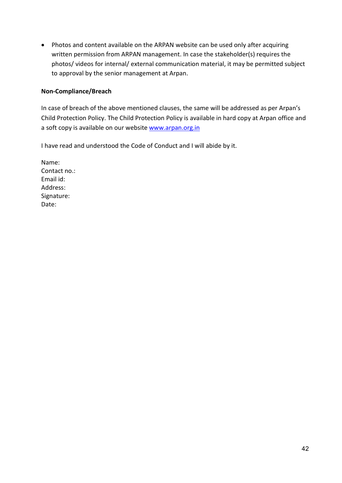• Photos and content available on the ARPAN website can be used only after acquiring written permission from ARPAN management. In case the stakeholder(s) requires the photos/ videos for internal/ external communication material, it may be permitted subject to approval by the senior management at Arpan.

#### **Non-Compliance/Breach**

In case of breach of the above mentioned clauses, the same will be addressed as per Arpan's Child Protection Policy. The Child Protection Policy is available in hard copy at Arpan office and a soft copy is available on our website [www.arpan.org.in](http://www.arpan.org.in/)

I have read and understood the Code of Conduct and I will abide by it.

Name: Contact no.: Email id: Address: Signature: Date: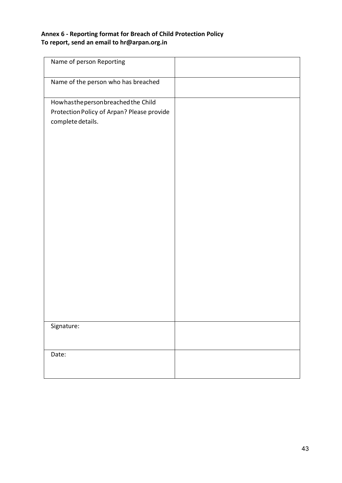## **Annex 6 - Reporting format for Breach of Child Protection Policy To report, send an email to hr@arpan.org.in**

| Name of person Reporting                   |  |
|--------------------------------------------|--|
| Name of the person who has breached        |  |
| Howhasthepersonbreached the Child          |  |
| Protection Policy of Arpan? Please provide |  |
| complete details.                          |  |
|                                            |  |
|                                            |  |
|                                            |  |
|                                            |  |
|                                            |  |
|                                            |  |
|                                            |  |
|                                            |  |
|                                            |  |
|                                            |  |
|                                            |  |
|                                            |  |
|                                            |  |
|                                            |  |
|                                            |  |
|                                            |  |
|                                            |  |
|                                            |  |
| Signature:                                 |  |
|                                            |  |
|                                            |  |
| Date:                                      |  |
|                                            |  |
|                                            |  |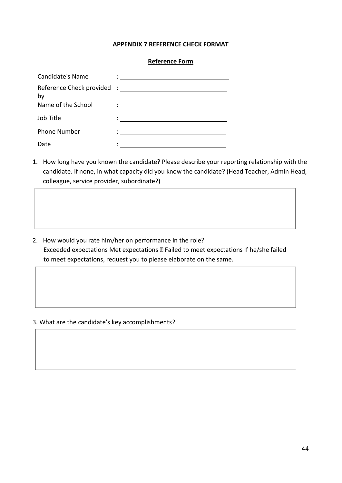#### **APPENDIX 7 REFERENCE CHECK FORMAT**

#### **Reference Form**

| Candidate's Name    | <u> 1980 - Jan Samuel Barbara, martin da shekara 1980 - An tsa a tsa a tsa a tsa a tsa a tsa a tsa a tsa a tsa a</u> |
|---------------------|----------------------------------------------------------------------------------------------------------------------|
| by                  |                                                                                                                      |
| Name of the School  |                                                                                                                      |
| Job Title           |                                                                                                                      |
| <b>Phone Number</b> |                                                                                                                      |
| Date                |                                                                                                                      |

1. How long have you known the candidate? Please describe your reporting relationship with the candidate. If none, in what capacity did you know the candidate? (Head Teacher, Admin Head, colleague, service provider, subordinate?)

2. How would you rate him/her on performance in the role? Exceeded expectations Met expectations Failed to meet expectations If he/she failed to meet expectations, request you to please elaborate on the same.

#### 3. What are the candidate's key accomplishments?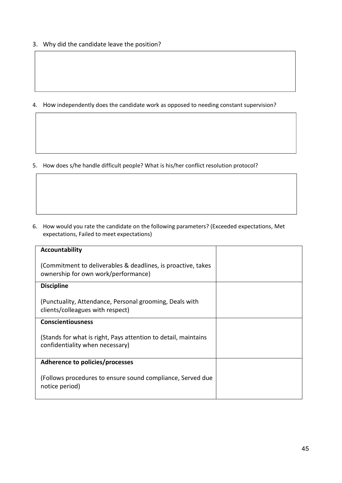3. Why did the candidate leave the position?

4. How independently does the candidate work as opposed to needing constant supervision?

5. How does s/he handle difficult people? What is his/her conflict resolution protocol?

6. How would you rate the candidate on the following parameters? (Exceeded expectations, Met expectations, Failed to meet expectations)

| Accountability                                                                                      |  |
|-----------------------------------------------------------------------------------------------------|--|
| (Commitment to deliverables & deadlines, is proactive, takes<br>ownership for own work/performance) |  |
| <b>Discipline</b>                                                                                   |  |
| (Punctuality, Attendance, Personal grooming, Deals with<br>clients/colleagues with respect)         |  |
| <b>Conscientiousness</b>                                                                            |  |
| (Stands for what is right, Pays attention to detail, maintains<br>confidentiality when necessary)   |  |
| Adherence to policies/processes                                                                     |  |
| (Follows procedures to ensure sound compliance, Served due<br>notice period)                        |  |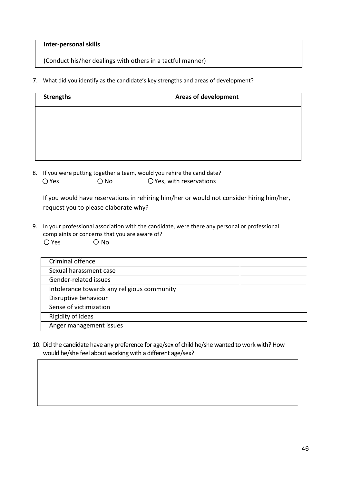| Inter-personal skills                                      |  |
|------------------------------------------------------------|--|
| (Conduct his/her dealings with others in a tactful manner) |  |

7. What did you identify as the candidate's key strengths and areas of development?

| <b>Strengths</b> | <b>Areas of development</b> |
|------------------|-----------------------------|
|                  |                             |
|                  |                             |
|                  |                             |
|                  |                             |

8. If you were putting together a team, would you rehire the candidate?  $\bigcirc$  Yes  $\bigcirc$  No  $\bigcirc$  Yes, with reservations

 If you would have reservations in rehiring him/her or would not consider hiring him/her, request you to please elaborate why?

9. In your professional association with the candidate, were there any personal or professional complaints or concerns that you are aware of?  $O$  Yes  $O$  No

| Criminal offence                            |  |
|---------------------------------------------|--|
|                                             |  |
| Sexual harassment case                      |  |
|                                             |  |
| Gender-related issues                       |  |
|                                             |  |
| Intolerance towards any religious community |  |
| Disruptive behaviour                        |  |
|                                             |  |
| Sense of victimization                      |  |
|                                             |  |
| Rigidity of ideas                           |  |
|                                             |  |
| Anger management issues                     |  |
|                                             |  |

10. Did the candidate have any preference for age/sex of child he/she wanted to work with? How would he/she feel about working with a different age/sex?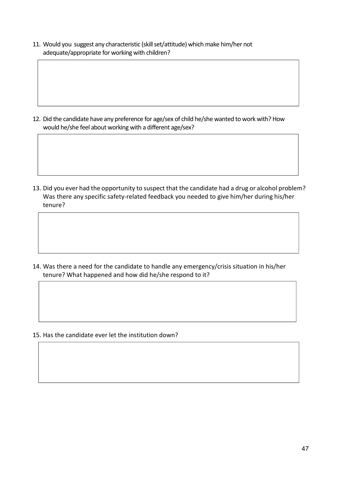11. Would you suggest any characteristic (skillset/attitude) which make him/her not adequate/appropriate for working with children?

12. Did the candidate have any preference for age/sex of child he/she wanted to work with? How would he/she feel about working with a different age/sex?

13. Did you ever had the opportunity to suspect that the candidate had a drug or alcohol problem? Was there any specific safety-related feedback you needed to give him/her during his/her tenure?

14. Was there a need for the candidate to handle any emergency/crisis situation in his/her tenure? What happened and how did he/she [respond to it?](https://www.care.com/-p1017-qxid%7C1201091550.html)

15. Has the candidate ever let the institution down?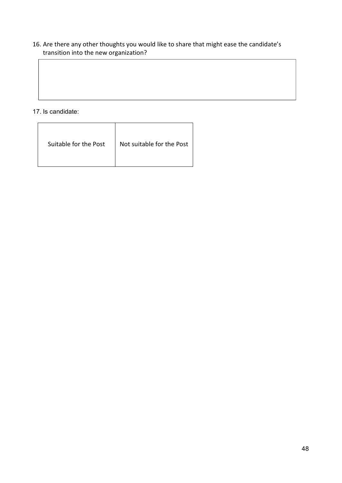## 16. Are there any other thoughts you would like to share that might ease the candidate's transition into the new organization?

17. Is candidate:

| Suitable for the Post | Not suitable for the Post |
|-----------------------|---------------------------|
|-----------------------|---------------------------|